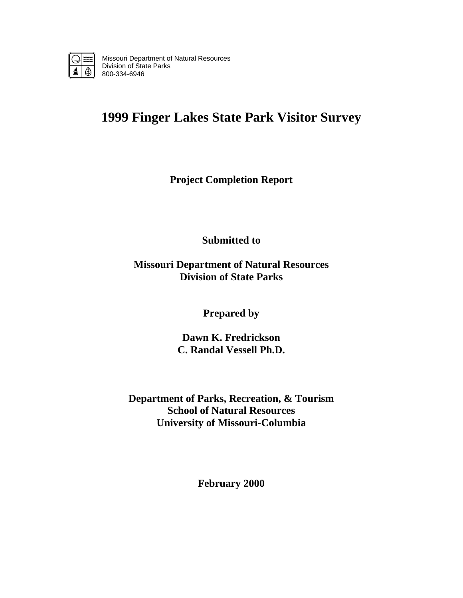

Missouri Department of Natural Resources Division of State Parks 800-334-6946

# **1999 Finger Lakes State Park Visitor Survey**

# **Project Completion Report**

**Submitted to** 

**Missouri Department of Natural Resources Division of State Parks** 

**Prepared by** 

**Dawn K. Fredrickson C. Randal Vessell Ph.D.** 

**Department of Parks, Recreation, & Tourism School of Natural Resources University of Missouri-Columbia** 

**February 2000**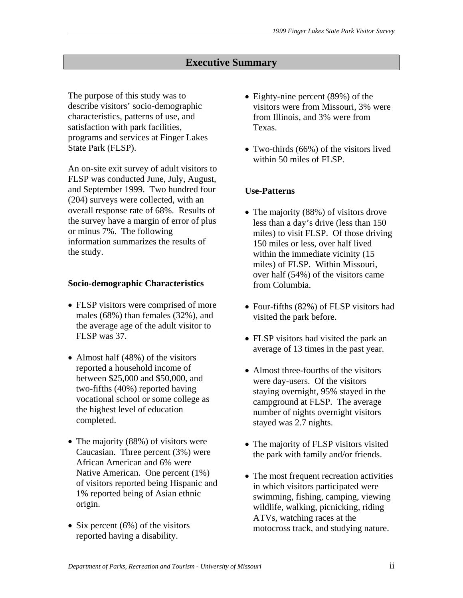# **Executive Summary**

The purpose of this study was to describe visitors' socio-demographic characteristics, patterns of use, and satisfaction with park facilities, programs and services at Finger Lakes State Park (FLSP).

An on-site exit survey of adult visitors to FLSP was conducted June, July, August, and September 1999. Two hundred four (204) surveys were collected, with an overall response rate of 68%. Results of the survey have a margin of error of plus or minus 7%. The following information summarizes the results of the study.

#### **Socio-demographic Characteristics**

- FLSP visitors were comprised of more males (68%) than females (32%), and the average age of the adult visitor to FLSP was 37.
- Almost half (48%) of the visitors reported a household income of between \$25,000 and \$50,000, and two-fifths (40%) reported having vocational school or some college as the highest level of education completed.
- The majority (88%) of visitors were Caucasian. Three percent (3%) were African American and 6% were Native American. One percent (1%) of visitors reported being Hispanic and 1% reported being of Asian ethnic origin.
- Six percent  $(6%)$  of the visitors reported having a disability.
- Eighty-nine percent (89%) of the visitors were from Missouri, 3% were from Illinois, and 3% were from Texas.
- Two-thirds (66%) of the visitors lived within 50 miles of FLSP.

#### **Use-Patterns**

- The majority (88%) of visitors drove less than a day's drive (less than 150 miles) to visit FLSP. Of those driving 150 miles or less, over half lived within the immediate vicinity  $(15$ miles) of FLSP. Within Missouri, over half (54%) of the visitors came from Columbia.
- Four-fifths (82%) of FLSP visitors had visited the park before.
- FLSP visitors had visited the park an average of 13 times in the past year.
- Almost three-fourths of the visitors were day-users. Of the visitors staying overnight, 95% stayed in the campground at FLSP. The average number of nights overnight visitors stayed was 2.7 nights.
- The majority of FLSP visitors visited the park with family and/or friends.
- The most frequent recreation activities in which visitors participated were swimming, fishing, camping, viewing wildlife, walking, picnicking, riding ATVs, watching races at the motocross track, and studying nature.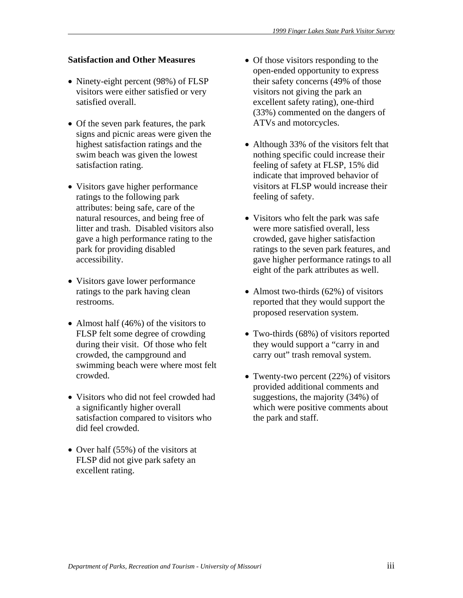### **Satisfaction and Other Measures**

- Ninety-eight percent (98%) of FLSP visitors were either satisfied or very satisfied overall.
- Of the seven park features, the park signs and picnic areas were given the highest satisfaction ratings and the swim beach was given the lowest satisfaction rating.
- Visitors gave higher performance ratings to the following park attributes: being safe, care of the natural resources, and being free of litter and trash. Disabled visitors also gave a high performance rating to the park for providing disabled accessibility.
- Visitors gave lower performance ratings to the park having clean restrooms.
- Almost half (46%) of the visitors to FLSP felt some degree of crowding during their visit. Of those who felt crowded, the campground and swimming beach were where most felt crowded.
- Visitors who did not feel crowded had a significantly higher overall satisfaction compared to visitors who did feel crowded.
- Over half (55%) of the visitors at FLSP did not give park safety an excellent rating.
- Of those visitors responding to the open-ended opportunity to express their safety concerns (49% of those visitors not giving the park an excellent safety rating), one-third (33%) commented on the dangers of ATVs and motorcycles.
- Although 33% of the visitors felt that nothing specific could increase their feeling of safety at FLSP, 15% did indicate that improved behavior of visitors at FLSP would increase their feeling of safety.
- Visitors who felt the park was safe were more satisfied overall, less crowded, gave higher satisfaction ratings to the seven park features, and gave higher performance ratings to all eight of the park attributes as well.
- Almost two-thirds (62%) of visitors reported that they would support the proposed reservation system.
- Two-thirds (68%) of visitors reported they would support a "carry in and carry out" trash removal system.
- Twenty-two percent (22%) of visitors provided additional comments and suggestions, the majority (34%) of which were positive comments about the park and staff.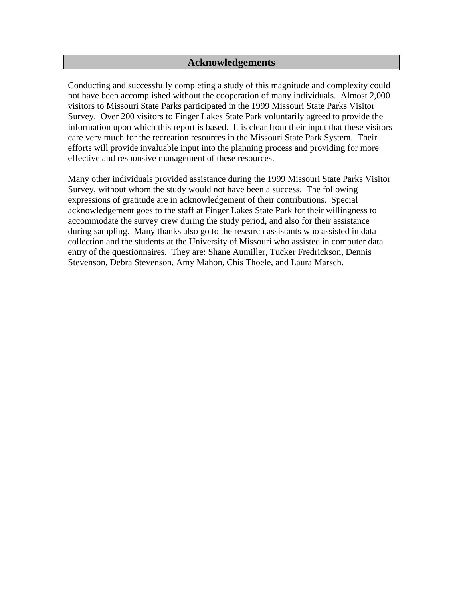# **Acknowledgements**

Conducting and successfully completing a study of this magnitude and complexity could not have been accomplished without the cooperation of many individuals. Almost 2,000 visitors to Missouri State Parks participated in the 1999 Missouri State Parks Visitor Survey. Over 200 visitors to Finger Lakes State Park voluntarily agreed to provide the information upon which this report is based. It is clear from their input that these visitors care very much for the recreation resources in the Missouri State Park System. Their efforts will provide invaluable input into the planning process and providing for more effective and responsive management of these resources.

Many other individuals provided assistance during the 1999 Missouri State Parks Visitor Survey, without whom the study would not have been a success. The following expressions of gratitude are in acknowledgement of their contributions. Special acknowledgement goes to the staff at Finger Lakes State Park for their willingness to accommodate the survey crew during the study period, and also for their assistance during sampling. Many thanks also go to the research assistants who assisted in data collection and the students at the University of Missouri who assisted in computer data entry of the questionnaires. They are: Shane Aumiller, Tucker Fredrickson, Dennis Stevenson, Debra Stevenson, Amy Mahon, Chis Thoele, and Laura Marsch.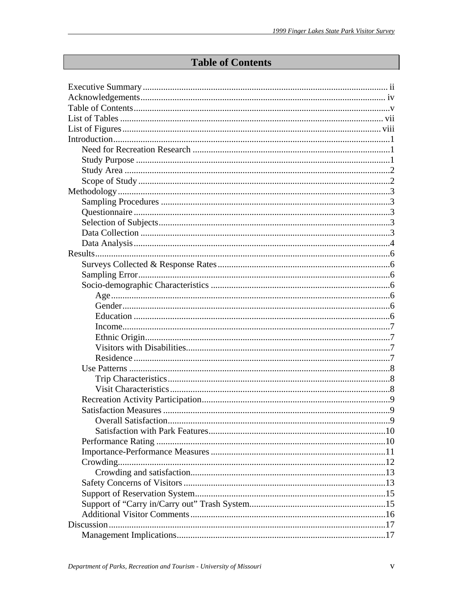# **Table of Contents**

| 9. |
|----|
|    |
|    |
|    |
|    |
|    |
|    |
|    |
|    |
|    |
|    |
|    |
|    |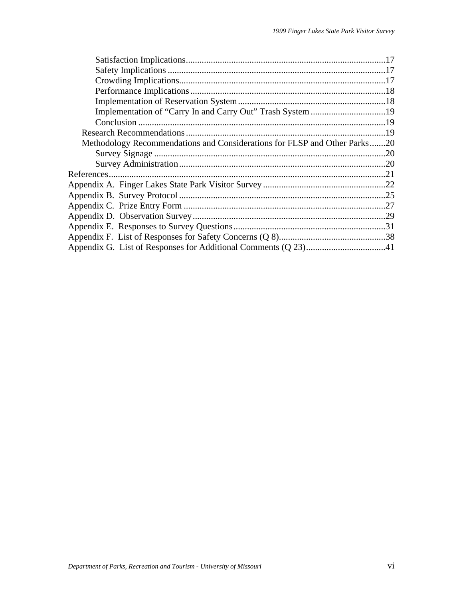| Methodology Recommendations and Considerations for FLSP and Other Parks20 |  |
|---------------------------------------------------------------------------|--|
|                                                                           |  |
|                                                                           |  |
|                                                                           |  |
|                                                                           |  |
|                                                                           |  |
|                                                                           |  |
|                                                                           |  |
|                                                                           |  |
|                                                                           |  |
|                                                                           |  |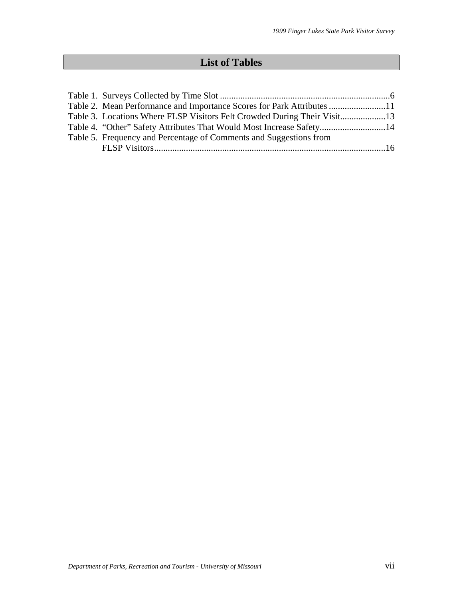# **List of Tables**

| Table 2. Mean Performance and Importance Scores for Park Attributes 11 |  |
|------------------------------------------------------------------------|--|
|                                                                        |  |
| Table 4. "Other" Safety Attributes That Would Most Increase Safety14   |  |
| Table 5. Frequency and Percentage of Comments and Suggestions from     |  |
|                                                                        |  |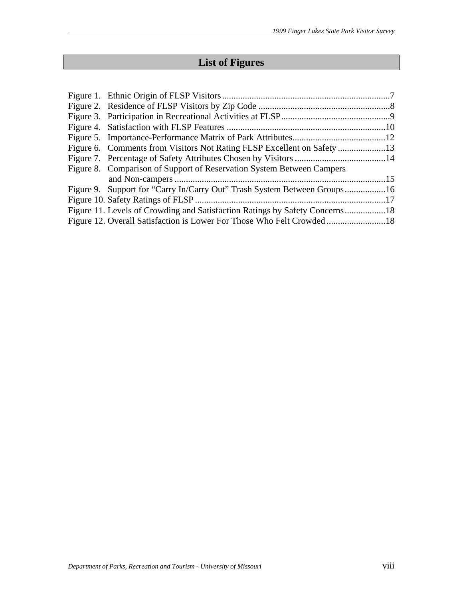# **List of Figures**

| Figure 6. Comments from Visitors Not Rating FLSP Excellent on Safety 13 |  |
|-------------------------------------------------------------------------|--|
|                                                                         |  |
| Figure 8. Comparison of Support of Reservation System Between Campers   |  |
|                                                                         |  |
|                                                                         |  |
|                                                                         |  |
|                                                                         |  |
|                                                                         |  |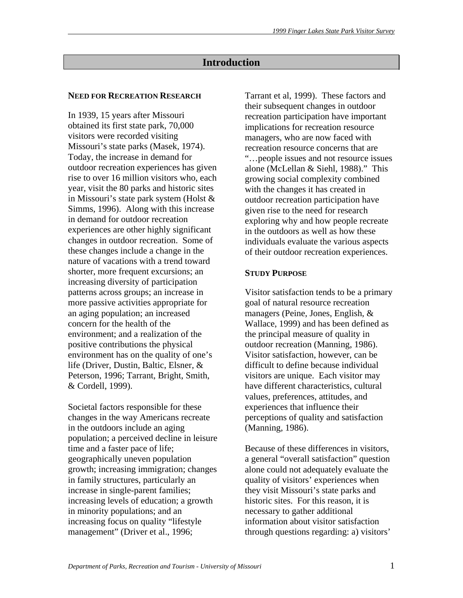# **Introduction**

#### **NEED FOR RECREATION RESEARCH**

In 1939, 15 years after Missouri obtained its first state park, 70,000 visitors were recorded visiting Missouri's state parks (Masek, 1974). Today, the increase in demand for outdoor recreation experiences has given rise to over 16 million visitors who, each year, visit the 80 parks and historic sites in Missouri's state park system (Holst & Simms, 1996). Along with this increase in demand for outdoor recreation experiences are other highly significant changes in outdoor recreation. Some of these changes include a change in the nature of vacations with a trend toward shorter, more frequent excursions; an increasing diversity of participation patterns across groups; an increase in more passive activities appropriate for an aging population; an increased concern for the health of the environment; and a realization of the positive contributions the physical environment has on the quality of one's life (Driver, Dustin, Baltic, Elsner, & Peterson, 1996; Tarrant, Bright, Smith, & Cordell, 1999).

Societal factors responsible for these changes in the way Americans recreate in the outdoors include an aging population; a perceived decline in leisure time and a faster pace of life; geographically uneven population growth; increasing immigration; changes in family structures, particularly an increase in single-parent families; increasing levels of education; a growth in minority populations; and an increasing focus on quality "lifestyle management" (Driver et al., 1996;

Tarrant et al, 1999). These factors and their subsequent changes in outdoor recreation participation have important implications for recreation resource managers, who are now faced with recreation resource concerns that are "…people issues and not resource issues alone (McLellan & Siehl, 1988)." This growing social complexity combined with the changes it has created in outdoor recreation participation have given rise to the need for research exploring why and how people recreate in the outdoors as well as how these individuals evaluate the various aspects of their outdoor recreation experiences.

#### **STUDY PURPOSE**

Visitor satisfaction tends to be a primary goal of natural resource recreation managers (Peine, Jones, English, & Wallace, 1999) and has been defined as the principal measure of quality in outdoor recreation (Manning, 1986). Visitor satisfaction, however, can be difficult to define because individual visitors are unique. Each visitor may have different characteristics, cultural values, preferences, attitudes, and experiences that influence their perceptions of quality and satisfaction (Manning, 1986).

Because of these differences in visitors, a general "overall satisfaction" question alone could not adequately evaluate the quality of visitors' experiences when they visit Missouri's state parks and historic sites. For this reason, it is necessary to gather additional information about visitor satisfaction through questions regarding: a) visitors'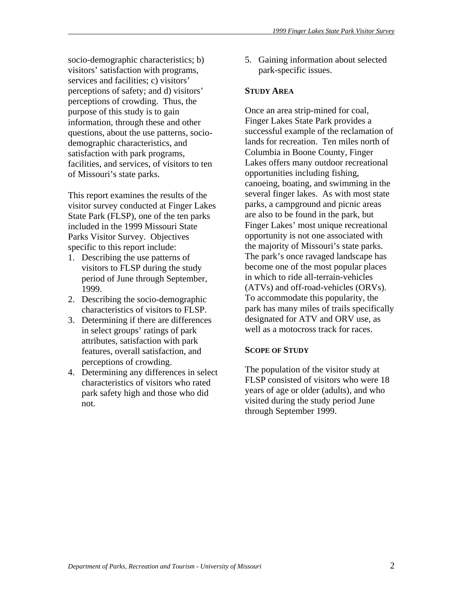socio-demographic characteristics; b) visitors' satisfaction with programs, services and facilities; c) visitors' perceptions of safety; and d) visitors' perceptions of crowding. Thus, the purpose of this study is to gain information, through these and other questions, about the use patterns, sociodemographic characteristics, and satisfaction with park programs, facilities, and services, of visitors to ten of Missouri's state parks.

This report examines the results of the visitor survey conducted at Finger Lakes State Park (FLSP), one of the ten parks included in the 1999 Missouri State Parks Visitor Survey. Objectives specific to this report include:

- 1. Describing the use patterns of visitors to FLSP during the study period of June through September, 1999.
- 2. Describing the socio-demographic characteristics of visitors to FLSP.
- 3. Determining if there are differences in select groups' ratings of park attributes, satisfaction with park features, overall satisfaction, and perceptions of crowding.
- 4. Determining any differences in select characteristics of visitors who rated park safety high and those who did not.

5. Gaining information about selected park-specific issues.

#### **STUDY AREA**

Once an area strip-mined for coal, Finger Lakes State Park provides a successful example of the reclamation of lands for recreation. Ten miles north of Columbia in Boone County, Finger Lakes offers many outdoor recreational opportunities including fishing, canoeing, boating, and swimming in the several finger lakes. As with most state parks, a campground and picnic areas are also to be found in the park, but Finger Lakes' most unique recreational opportunity is not one associated with the majority of Missouri's state parks. The park's once ravaged landscape has become one of the most popular places in which to ride all-terrain-vehicles (ATVs) and off-road-vehicles (ORVs). To accommodate this popularity, the park has many miles of trails specifically designated for ATV and ORV use, as well as a motocross track for races.

#### **SCOPE OF STUDY**

The population of the visitor study at FLSP consisted of visitors who were 18 years of age or older (adults), and who visited during the study period June through September 1999.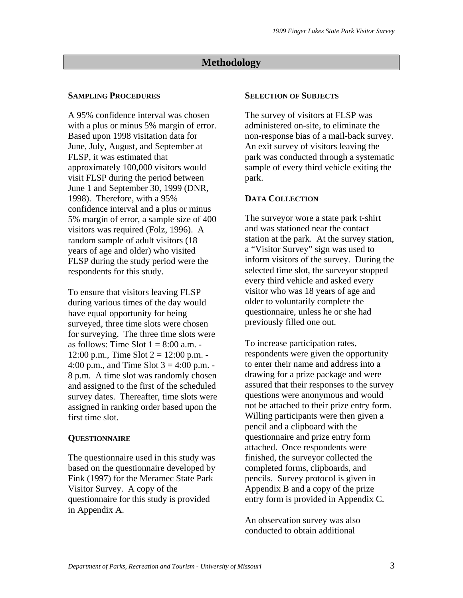# **Methodology**

# **SAMPLING PROCEDURES**

A 95% confidence interval was chosen with a plus or minus 5% margin of error. Based upon 1998 visitation data for June, July, August, and September at FLSP, it was estimated that approximately 100,000 visitors would visit FLSP during the period between June 1 and September 30, 1999 (DNR, 1998). Therefore, with a 95% confidence interval and a plus or minus 5% margin of error, a sample size of 400 visitors was required (Folz, 1996). A random sample of adult visitors (18 years of age and older) who visited FLSP during the study period were the respondents for this study.

To ensure that visitors leaving FLSP during various times of the day would have equal opportunity for being surveyed, three time slots were chosen for surveying. The three time slots were as follows: Time Slot  $1 = 8:00$  a.m. -12:00 p.m., Time Slot  $2 = 12:00$  p.m. -4:00 p.m., and Time Slot  $3 = 4:00$  p.m. -8 p.m. A time slot was randomly chosen and assigned to the first of the scheduled survey dates. Thereafter, time slots were assigned in ranking order based upon the first time slot.

# **QUESTIONNAIRE**

The questionnaire used in this study was based on the questionnaire developed by Fink (1997) for the Meramec State Park Visitor Survey. A copy of the questionnaire for this study is provided in Appendix A.

#### **SELECTION OF SUBJECTS**

The survey of visitors at FLSP was administered on-site, to eliminate the non-response bias of a mail-back survey. An exit survey of visitors leaving the park was conducted through a systematic sample of every third vehicle exiting the park.

#### **DATA COLLECTION**

The surveyor wore a state park t-shirt and was stationed near the contact station at the park. At the survey station, a "Visitor Survey" sign was used to inform visitors of the survey. During the selected time slot, the surveyor stopped every third vehicle and asked every visitor who was 18 years of age and older to voluntarily complete the questionnaire, unless he or she had previously filled one out.

To increase participation rates, respondents were given the opportunity to enter their name and address into a drawing for a prize package and were assured that their responses to the survey questions were anonymous and would not be attached to their prize entry form. Willing participants were then given a pencil and a clipboard with the questionnaire and prize entry form attached. Once respondents were finished, the surveyor collected the completed forms, clipboards, and pencils. Survey protocol is given in Appendix B and a copy of the prize entry form is provided in Appendix C.

An observation survey was also conducted to obtain additional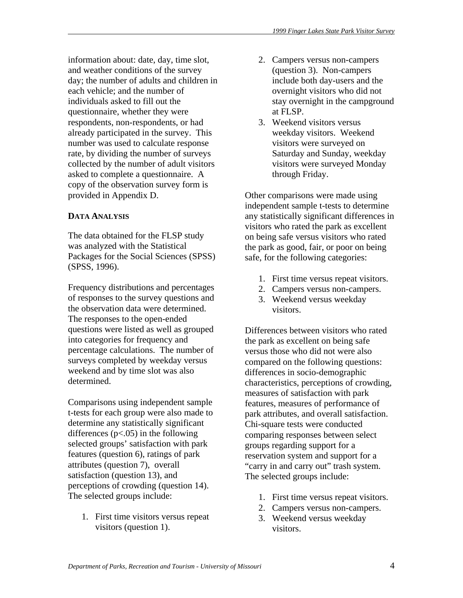information about: date, day, time slot, and weather conditions of the survey day; the number of adults and children in each vehicle; and the number of individuals asked to fill out the questionnaire, whether they were respondents, non-respondents, or had already participated in the survey. This number was used to calculate response rate, by dividing the number of surveys collected by the number of adult visitors asked to complete a questionnaire. A copy of the observation survey form is provided in Appendix D.

# **DATA ANALYSIS**

The data obtained for the FLSP study was analyzed with the Statistical Packages for the Social Sciences (SPSS) (SPSS, 1996).

Frequency distributions and percentages of responses to the survey questions and the observation data were determined. The responses to the open-ended questions were listed as well as grouped into categories for frequency and percentage calculations. The number of surveys completed by weekday versus weekend and by time slot was also determined.

Comparisons using independent sample t-tests for each group were also made to determine any statistically significant differences  $(p<.05)$  in the following selected groups' satisfaction with park features (question 6), ratings of park attributes (question 7), overall satisfaction (question 13), and perceptions of crowding (question 14). The selected groups include:

1. First time visitors versus repeat visitors (question 1).

- 2. Campers versus non-campers (question 3). Non-campers include both day-users and the overnight visitors who did not stay overnight in the campground at FLSP.
- 3. Weekend visitors versus weekday visitors. Weekend visitors were surveyed on Saturday and Sunday, weekday visitors were surveyed Monday through Friday.

Other comparisons were made using independent sample t-tests to determine any statistically significant differences in visitors who rated the park as excellent on being safe versus visitors who rated the park as good, fair, or poor on being safe, for the following categories:

- 1. First time versus repeat visitors.
- 2. Campers versus non-campers.
- 3. Weekend versus weekday visitors.

Differences between visitors who rated the park as excellent on being safe versus those who did not were also compared on the following questions: differences in socio-demographic characteristics, perceptions of crowding, measures of satisfaction with park features, measures of performance of park attributes, and overall satisfaction. Chi-square tests were conducted comparing responses between select groups regarding support for a reservation system and support for a "carry in and carry out" trash system. The selected groups include:

- 1. First time versus repeat visitors.
- 2. Campers versus non-campers.
- 3. Weekend versus weekday visitors.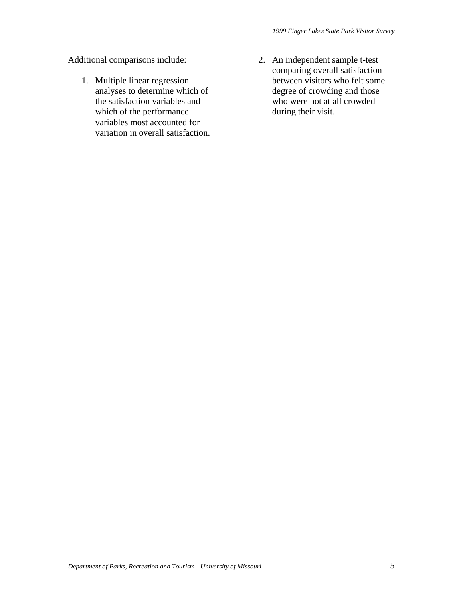Additional comparisons include:

- 1. Multiple linear regression analyses to determine which of the satisfaction variables and which of the performance variables most accounted for variation in overall satisfaction.
- 2. An independent sample t-test comparing overall satisfaction between visitors who felt some degree of crowding and those who were not at all crowded during their visit.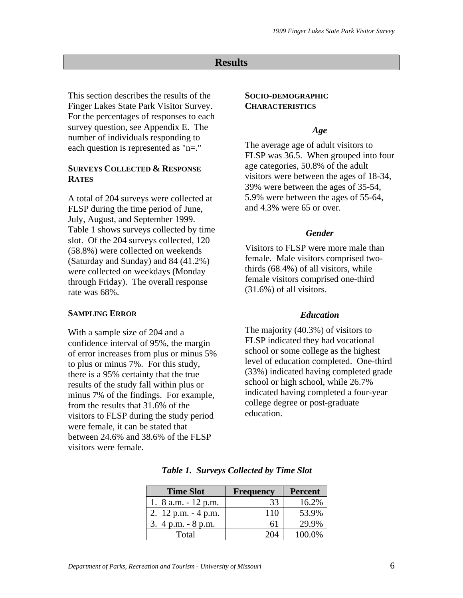# **Results**

This section describes the results of the Finger Lakes State Park Visitor Survey. For the percentages of responses to each survey question, see Appendix E. The number of individuals responding to each question is represented as "n=."

#### **SURVEYS COLLECTED & RESPONSE RATES**

A total of 204 surveys were collected at FLSP during the time period of June, July, August, and September 1999. Table 1 shows surveys collected by time slot. Of the 204 surveys collected, 120 (58.8%) were collected on weekends (Saturday and Sunday) and 84 (41.2%) were collected on weekdays (Monday through Friday). The overall response rate was 68%.

#### **SAMPLING ERROR**

With a sample size of 204 and a confidence interval of 95%, the margin of error increases from plus or minus 5% to plus or minus 7%. For this study, there is a 95% certainty that the true results of the study fall within plus or minus 7% of the findings. For example, from the results that 31.6% of the visitors to FLSP during the study period were female, it can be stated that between 24.6% and 38.6% of the FLSP visitors were female.

#### **SOCIO-DEMOGRAPHIC CHARACTERISTICS**

#### *Age*

The average age of adult visitors to FLSP was 36.5. When grouped into four age categories, 50.8% of the adult visitors were between the ages of 18-34, 39% were between the ages of 35-54, 5.9% were between the ages of 55-64, and 4.3% were 65 or over.

#### *Gender*

Visitors to FLSP were more male than female. Male visitors comprised twothirds (68.4%) of all visitors, while female visitors comprised one-third (31.6%) of all visitors.

#### *Education*

The majority (40.3%) of visitors to FLSP indicated they had vocational school or some college as the highest level of education completed. One-third (33%) indicated having completed grade school or high school, while 26.7% indicated having completed a four-year college degree or post-graduate education.

| <b>Time Slot</b>       | <b>Frequency</b> | <b>Percent</b> |
|------------------------|------------------|----------------|
| 1. $8$ a.m. $-12$ p.m. | 33               | 16.2%          |
| 2. $12$ p.m. $-4$ p.m. | 110              | 53.9%          |
| 3. $4 p.m. - 8 p.m.$   |                  | 29.9%          |
| Total                  |                  | 100.0%         |

*Table 1. Surveys Collected by Time Slot*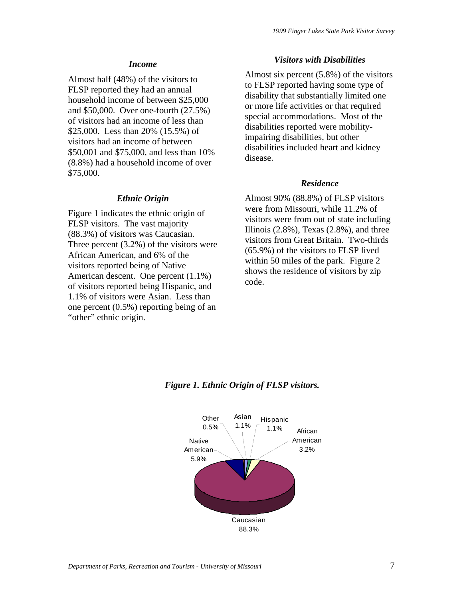#### *Income*

Almost half (48%) of the visitors to FLSP reported they had an annual household income of between \$25,000 and \$50,000. Over one-fourth (27.5%) of visitors had an income of less than \$25,000. Less than 20% (15.5%) of visitors had an income of between \$50,001 and \$75,000, and less than 10% (8.8%) had a household income of over \$75,000.

#### *Ethnic Origin*

Figure 1 indicates the ethnic origin of FLSP visitors. The vast majority (88.3%) of visitors was Caucasian. Three percent (3.2%) of the visitors were African American, and 6% of the visitors reported being of Native American descent. One percent (1.1%) of visitors reported being Hispanic, and 1.1% of visitors were Asian. Less than one percent (0.5%) reporting being of an "other" ethnic origin.

#### *Visitors with Disabilities*

Almost six percent (5.8%) of the visitors to FLSP reported having some type of disability that substantially limited one or more life activities or that required special accommodations. Most of the disabilities reported were mobilityimpairing disabilities, but other disabilities included heart and kidney disease.

#### *Residence*

Almost 90% (88.8%) of FLSP visitors were from Missouri, while 11.2% of visitors were from out of state including Illinois  $(2.8\%)$ , Texas  $(2.8\%)$ , and three visitors from Great Britain. Two-thirds (65.9%) of the visitors to FLSP lived within 50 miles of the park. Figure 2 shows the residence of visitors by zip code.



# *Figure 1. Ethnic Origin of FLSP visitors.*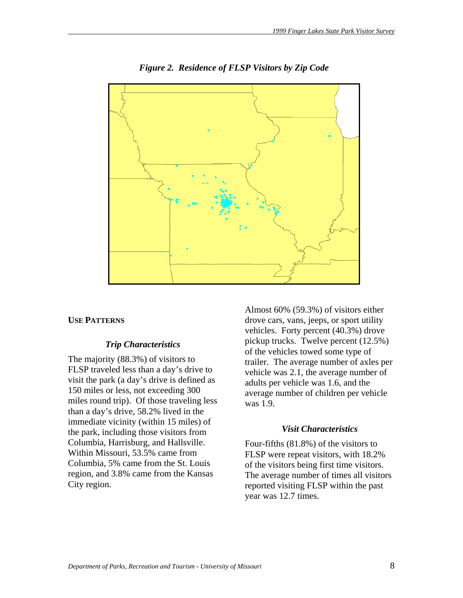

*Figure 2. Residence of FLSP Visitors by Zip Code* 

#### **USE PATTERNS**

#### *Trip Characteristics*

The majority (88.3%) of visitors to FLSP traveled less than a day's drive to visit the park (a day's drive is defined as 150 miles or less, not exceeding 300 miles round trip). Of those traveling less than a day's drive, 58.2% lived in the immediate vicinity (within 15 miles) of the park, including those visitors from Columbia, Harrisburg, and Hallsville. Within Missouri, 53.5% came from Columbia, 5% came from the St. Louis region, and 3.8% came from the Kansas City region.

Almost 60% (59.3%) of visitors either drove cars, vans, jeeps, or sport utility vehicles. Forty percent (40.3%) drove pickup trucks. Twelve percent (12.5%) of the vehicles towed some type of trailer. The average number of axles per vehicle was 2.1, the average number of adults per vehicle was 1.6, and the average number of children per vehicle was 1.9.

#### *Visit Characteristics*

Four-fifths (81.8%) of the visitors to FLSP were repeat visitors, with 18.2% of the visitors being first time visitors. The average number of times all visitors reported visiting FLSP within the past year was 12.7 times.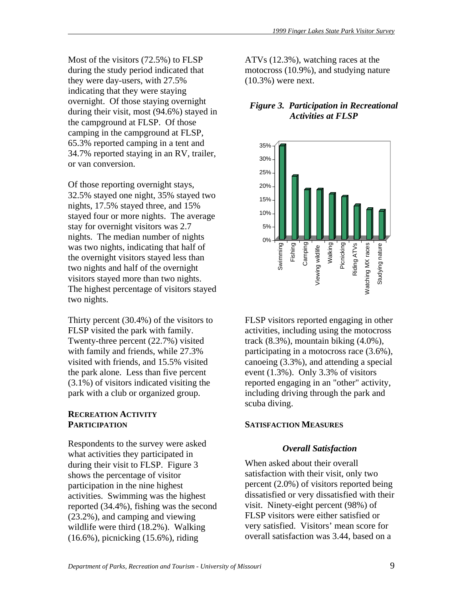Most of the visitors (72.5%) to FLSP during the study period indicated that they were day-users, with 27.5% indicating that they were staying overnight. Of those staying overnight during their visit, most (94.6%) stayed in the campground at FLSP. Of those camping in the campground at FLSP, 65.3% reported camping in a tent and 34.7% reported staying in an RV, trailer, or van conversion.

Of those reporting overnight stays, 32.5% stayed one night, 35% stayed two nights, 17.5% stayed three, and 15% stayed four or more nights. The average stay for overnight visitors was 2.7 nights. The median number of nights was two nights, indicating that half of the overnight visitors stayed less than two nights and half of the overnight visitors stayed more than two nights. The highest percentage of visitors stayed two nights.

Thirty percent (30.4%) of the visitors to FLSP visited the park with family. Twenty-three percent (22.7%) visited with family and friends, while 27.3% visited with friends, and 15.5% visited the park alone. Less than five percent (3.1%) of visitors indicated visiting the park with a club or organized group.

# **RECREATION ACTIVITY PARTICIPATION**

Respondents to the survey were asked what activities they participated in during their visit to FLSP. Figure 3 shows the percentage of visitor participation in the nine highest activities. Swimming was the highest reported (34.4%), fishing was the second (23.2%), and camping and viewing wildlife were third (18.2%). Walking (16.6%), picnicking (15.6%), riding

ATVs (12.3%), watching races at the motocross (10.9%), and studying nature (10.3%) were next.

# *Figure 3. Participation in Recreational Activities at FLSP*



FLSP visitors reported engaging in other activities, including using the motocross track (8.3%), mountain biking (4.0%), participating in a motocross race (3.6%), canoeing (3.3%), and attending a special event (1.3%). Only 3.3% of visitors reported engaging in an "other" activity, including driving through the park and scuba diving.

# **SATISFACTION MEASURES**

# *Overall Satisfaction*

When asked about their overall satisfaction with their visit, only two percent (2.0%) of visitors reported being dissatisfied or very dissatisfied with their visit. Ninety-eight percent (98%) of FLSP visitors were either satisfied or very satisfied. Visitors' mean score for overall satisfaction was 3.44, based on a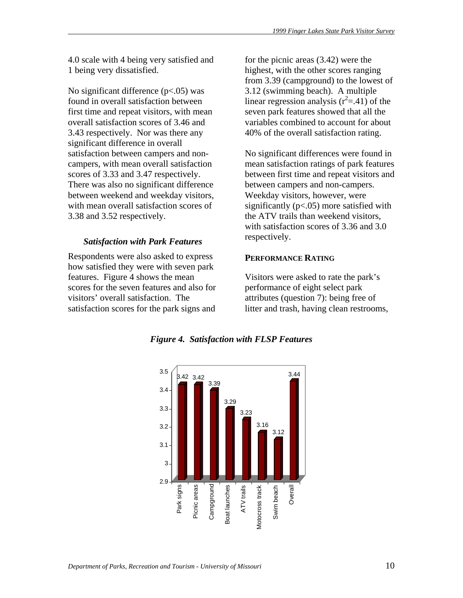4.0 scale with 4 being very satisfied and 1 being very dissatisfied.

No significant difference ( $p$ <.05) was found in overall satisfaction between first time and repeat visitors, with mean overall satisfaction scores of 3.46 and 3.43 respectively. Nor was there any significant difference in overall satisfaction between campers and noncampers, with mean overall satisfaction scores of 3.33 and 3.47 respectively. There was also no significant difference between weekend and weekday visitors, with mean overall satisfaction scores of 3.38 and 3.52 respectively.

#### *Satisfaction with Park Features*

Respondents were also asked to express how satisfied they were with seven park features. Figure 4 shows the mean scores for the seven features and also for visitors' overall satisfaction. The satisfaction scores for the park signs and

for the picnic areas (3.42) were the highest, with the other scores ranging from 3.39 (campground) to the lowest of 3.12 (swimming beach). A multiple linear regression analysis  $(r^2 = .41)$  of the seven park features showed that all the variables combined to account for about 40% of the overall satisfaction rating.

No significant differences were found in mean satisfaction ratings of park features between first time and repeat visitors and between campers and non-campers. Weekday visitors, however, were significantly  $(p<.05)$  more satisfied with the ATV trails than weekend visitors, with satisfaction scores of 3.36 and 3.0 respectively.

# **PERFORMANCE RATING**

Visitors were asked to rate the park's performance of eight select park attributes (question 7): being free of litter and trash, having clean restrooms,



# *Figure 4. Satisfaction with FLSP Features*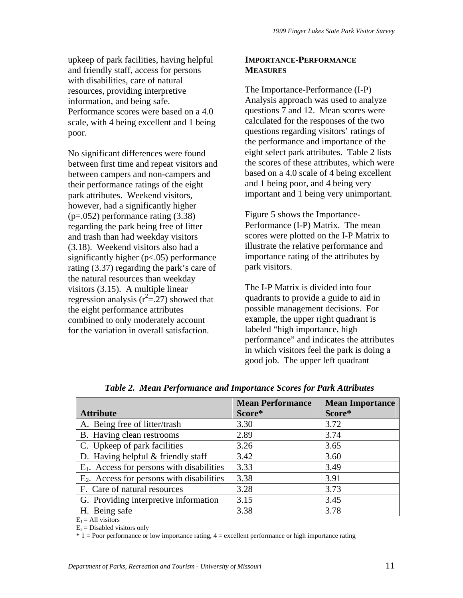upkeep of park facilities, having helpful and friendly staff, access for persons with disabilities, care of natural resources, providing interpretive information, and being safe. Performance scores were based on a 4.0 scale, with 4 being excellent and 1 being poor.

No significant differences were found between first time and repeat visitors and between campers and non-campers and their performance ratings of the eight park attributes. Weekend visitors, however, had a significantly higher (p=.052) performance rating (3.38) regarding the park being free of litter and trash than had weekday visitors (3.18). Weekend visitors also had a significantly higher (p<.05) performance rating (3.37) regarding the park's care of the natural resources than weekday visitors (3.15). A multiple linear regression analysis  $(r^2 = 27)$  showed that the eight performance attributes combined to only moderately account for the variation in overall satisfaction.

#### **IMPORTANCE-PERFORMANCE MEASURES**

The Importance-Performance (I-P) Analysis approach was used to analyze questions 7 and 12. Mean scores were calculated for the responses of the two questions regarding visitors' ratings of the performance and importance of the eight select park attributes. Table 2 lists the scores of these attributes, which were based on a 4.0 scale of 4 being excellent and 1 being poor, and 4 being very important and 1 being very unimportant.

Figure 5 shows the Importance-Performance (I-P) Matrix. The mean scores were plotted on the I-P Matrix to illustrate the relative performance and importance rating of the attributes by park visitors.

The I-P Matrix is divided into four quadrants to provide a guide to aid in possible management decisions. For example, the upper right quadrant is labeled "high importance, high performance" and indicates the attributes in which visitors feel the park is doing a good job. The upper left quadrant

|                                              | <b>Mean Performance</b> | <b>Mean Importance</b> |
|----------------------------------------------|-------------------------|------------------------|
| <b>Attribute</b>                             | Score*                  | Score*                 |
| A. Being free of litter/trash                | 3.30                    | 3.72                   |
| B. Having clean restrooms                    | 2.89                    | 3.74                   |
| C. Upkeep of park facilities                 | 3.26                    | 3.65                   |
| D. Having helpful $&$ friendly staff         | 3.42                    | 3.60                   |
| $E_1$ . Access for persons with disabilities | 3.33                    | 3.49                   |
| $E_2$ . Access for persons with disabilities | 3.38                    | 3.91                   |
| F. Care of natural resources                 | 3.28                    | 3.73                   |
| G. Providing interpretive information        | 3.15                    | 3.45                   |
| H. Being safe                                | 3.38                    | 3.78                   |

*Table 2. Mean Performance and Importance Scores for Park Attributes* 

 $E_1$  = All visitors

 $E_2$  = Disabled visitors only

 $* 1 =$  Poor performance or low importance rating,  $4 =$  excellent performance or high importance rating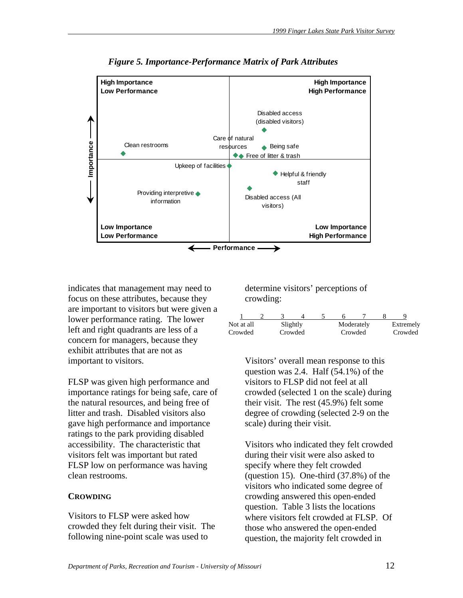

*Figure 5. Importance-Performance Matrix of Park Attributes* 

indicates that management may need to focus on these attributes, because they are important to visitors but were given a lower performance rating. The lower left and right quadrants are less of a concern for managers, because they exhibit attributes that are not as important to visitors.

FLSP was given high performance and importance ratings for being safe, care of the natural resources, and being free of litter and trash. Disabled visitors also gave high performance and importance ratings to the park providing disabled accessibility. The characteristic that visitors felt was important but rated FLSP low on performance was having clean restrooms.

# **CROWDING**

Visitors to FLSP were asked how crowded they felt during their visit. The following nine-point scale was used to

determine visitors' perceptions of crowding:



Visitors' overall mean response to this question was 2.4. Half (54.1%) of the visitors to FLSP did not feel at all crowded (selected 1 on the scale) during their visit. The rest (45.9%) felt some degree of crowding (selected 2-9 on the scale) during their visit.

Visitors who indicated they felt crowded during their visit were also asked to specify where they felt crowded (question 15). One-third (37.8%) of the visitors who indicated some degree of crowding answered this open-ended question. Table 3 lists the locations where visitors felt crowded at FLSP. Of those who answered the open-ended question, the majority felt crowded in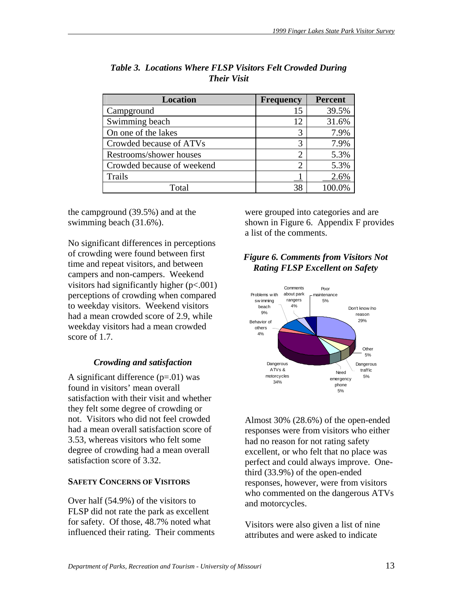| <b>Location</b>            | <b>Frequency</b> | <b>Percent</b> |
|----------------------------|------------------|----------------|
| Campground                 | 15               | 39.5%          |
| Swimming beach             | 12               | 31.6%          |
| On one of the lakes        | 3                | 7.9%           |
| Crowded because of ATVs    | 3                | 7.9%           |
| Restrooms/shower houses    | 2                | 5.3%           |
| Crowded because of weekend | 2                | 5.3%           |
| Trails                     |                  | 2.6%           |
| Total                      | 38               | 100.0%         |

# *Table 3. Locations Where FLSP Visitors Felt Crowded During Their Visit*

the campground (39.5%) and at the swimming beach (31.6%).

No significant differences in perceptions of crowding were found between first time and repeat visitors, and between campers and non-campers. Weekend visitors had significantly higher (p<.001) perceptions of crowding when compared to weekday visitors. Weekend visitors had a mean crowded score of 2.9, while weekday visitors had a mean crowded score of 1.7.

# *Crowding and satisfaction*

A significant difference  $(p=01)$  was found in visitors' mean overall satisfaction with their visit and whether they felt some degree of crowding or not. Visitors who did not feel crowded had a mean overall satisfaction score of 3.53, whereas visitors who felt some degree of crowding had a mean overall satisfaction score of 3.32.

# **SAFETY CONCERNS OF VISITORS**

Over half (54.9%) of the visitors to FLSP did not rate the park as excellent for safety. Of those, 48.7% noted what influenced their rating. Their comments were grouped into categories and are shown in Figure 6. Appendix F provides a list of the comments.

# *Figure 6. Comments from Visitors Not Rating FLSP Excellent on Safety*



Almost 30% (28.6%) of the open-ended responses were from visitors who either had no reason for not rating safety excellent, or who felt that no place was perfect and could always improve. Onethird (33.9%) of the open-ended responses, however, were from visitors who commented on the dangerous ATVs and motorcycles.

Visitors were also given a list of nine attributes and were asked to indicate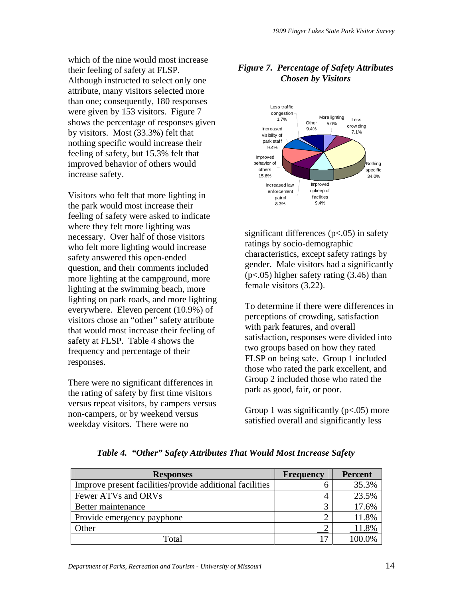which of the nine would most increase their feeling of safety at FLSP. Although instructed to select only one attribute, many visitors selected more than one; consequently, 180 responses were given by 153 visitors. Figure 7 shows the percentage of responses given by visitors. Most (33.3%) felt that nothing specific would increase their feeling of safety, but 15.3% felt that improved behavior of others would increase safety.

Visitors who felt that more lighting in the park would most increase their feeling of safety were asked to indicate where they felt more lighting was necessary. Over half of those visitors who felt more lighting would increase safety answered this open-ended question, and their comments included more lighting at the campground, more lighting at the swimming beach, more lighting on park roads, and more lighting everywhere. Eleven percent (10.9%) of visitors chose an "other" safety attribute that would most increase their feeling of safety at FLSP. Table 4 shows the frequency and percentage of their responses.

There were no significant differences in the rating of safety by first time visitors versus repeat visitors, by campers versus non-campers, or by weekend versus weekday visitors. There were no

# *Figure 7. Percentage of Safety Attributes Chosen by Visitors*



significant differences ( $p$ <.05) in safety ratings by socio-demographic characteristics, except safety ratings by gender. Male visitors had a significantly (p<.05) higher safety rating (3.46) than female visitors (3.22).

To determine if there were differences in perceptions of crowding, satisfaction with park features, and overall satisfaction, responses were divided into two groups based on how they rated FLSP on being safe. Group 1 included those who rated the park excellent, and Group 2 included those who rated the park as good, fair, or poor.

Group 1 was significantly  $(p<.05)$  more satisfied overall and significantly less

| <b>Responses</b>                                         | <b>Frequency</b> | <b>Percent</b> |
|----------------------------------------------------------|------------------|----------------|
| Improve present facilities/provide additional facilities |                  | 35.3%          |
| Fewer ATVs and ORVs                                      |                  | 23.5%          |
| Better maintenance                                       |                  | 17.6%          |
| Provide emergency payphone                               |                  | 11.8%          |
| <b>Other</b>                                             |                  | 11.8%          |
| Total                                                    |                  |                |

#### *Table 4. "Other" Safety Attributes That Would Most Increase Safety*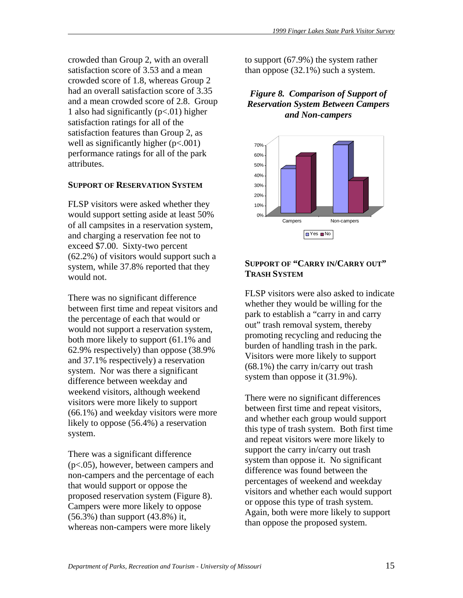crowded than Group 2, with an overall satisfaction score of 3.53 and a mean crowded score of 1.8, whereas Group 2 had an overall satisfaction score of 3.35 and a mean crowded score of 2.8. Group 1 also had significantly (p<.01) higher satisfaction ratings for all of the satisfaction features than Group 2, as well as significantly higher  $(p<.001)$ performance ratings for all of the park attributes.

#### **SUPPORT OF RESERVATION SYSTEM**

FLSP visitors were asked whether they would support setting aside at least 50% of all campsites in a reservation system, and charging a reservation fee not to exceed \$7.00. Sixty-two percent (62.2%) of visitors would support such a system, while 37.8% reported that they would not.

There was no significant difference between first time and repeat visitors and the percentage of each that would or would not support a reservation system, both more likely to support (61.1% and 62.9% respectively) than oppose (38.9% and 37.1% respectively) a reservation system. Nor was there a significant difference between weekday and weekend visitors, although weekend visitors were more likely to support (66.1%) and weekday visitors were more likely to oppose (56.4%) a reservation system.

There was a significant difference (p<.05), however, between campers and non-campers and the percentage of each that would support or oppose the proposed reservation system (Figure 8). Campers were more likely to oppose (56.3%) than support (43.8%) it, whereas non-campers were more likely

to support (67.9%) the system rather than oppose (32.1%) such a system.

# *Figure 8. Comparison of Support of Reservation System Between Campers and Non-campers*



# **SUPPORT OF "CARRY IN/CARRY OUT" TRASH SYSTEM**

FLSP visitors were also asked to indicate whether they would be willing for the park to establish a "carry in and carry out" trash removal system, thereby promoting recycling and reducing the burden of handling trash in the park. Visitors were more likely to support (68.1%) the carry in/carry out trash system than oppose it (31.9%).

There were no significant differences between first time and repeat visitors, and whether each group would support this type of trash system. Both first time and repeat visitors were more likely to support the carry in/carry out trash system than oppose it. No significant difference was found between the percentages of weekend and weekday visitors and whether each would support or oppose this type of trash system. Again, both were more likely to support than oppose the proposed system.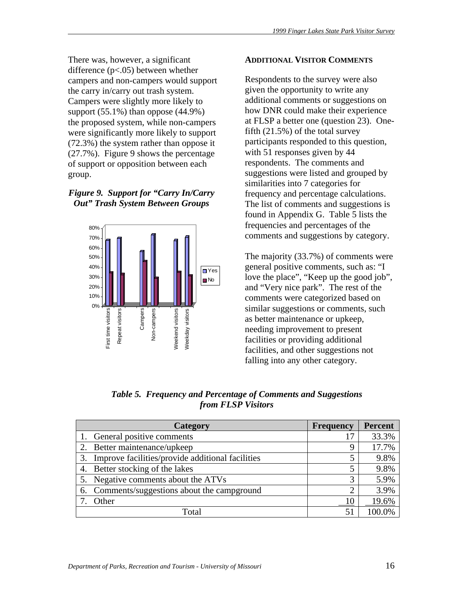There was, however, a significant difference (p<.05) between whether campers and non-campers would support the carry in/carry out trash system. Campers were slightly more likely to support (55.1%) than oppose (44.9%) the proposed system, while non-campers were significantly more likely to support (72.3%) the system rather than oppose it (27.7%). Figure 9 shows the percentage of support or opposition between each group.

# *Figure 9. Support for "Carry In/Carry Out" Trash System Between Groups*



# **ADDITIONAL VISITOR COMMENTS**

Respondents to the survey were also given the opportunity to write any additional comments or suggestions on how DNR could make their experience at FLSP a better one (question 23). Onefifth (21.5%) of the total survey participants responded to this question, with 51 responses given by 44 respondents. The comments and suggestions were listed and grouped by similarities into 7 categories for frequency and percentage calculations. The list of comments and suggestions is found in Appendix G. Table 5 lists the frequencies and percentages of the comments and suggestions by category.

The majority (33.7%) of comments were general positive comments, such as: "I love the place", "Keep up the good job", and "Very nice park". The rest of the comments were categorized based on similar suggestions or comments, such as better maintenance or upkeep, needing improvement to present facilities or providing additional facilities, and other suggestions not falling into any other category.

*Table 5. Frequency and Percentage of Comments and Suggestions from FLSP Visitors* 

| Category                                         | <b>Frequency</b> | <b>Percent</b> |
|--------------------------------------------------|------------------|----------------|
| General positive comments                        |                  | 33.3%          |
| Better maintenance/upkeep                        | ӌ                | 17.7%          |
| Improve facilities/provide additional facilities |                  | 9.8%           |
| Better stocking of the lakes<br>4.               |                  | 9.8%           |
| 5. Negative comments about the ATVs              | 3                | 5.9%           |
| Comments/suggestions about the campground<br>6.  |                  | 3.9%           |
| Other                                            |                  | 19.6%          |
| Total                                            |                  |                |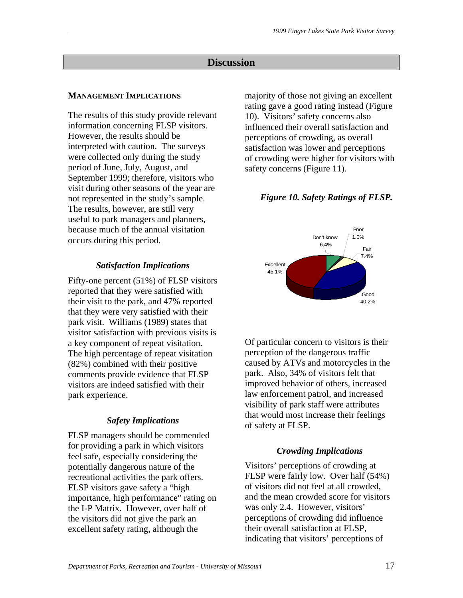# **Discussion**

#### **MANAGEMENT IMPLICATIONS**

The results of this study provide relevant information concerning FLSP visitors. However, the results should be interpreted with caution. The surveys were collected only during the study period of June, July, August, and September 1999; therefore, visitors who visit during other seasons of the year are not represented in the study's sample. The results, however, are still very useful to park managers and planners, because much of the annual visitation occurs during this period.

#### *Satisfaction Implications*

Fifty-one percent (51%) of FLSP visitors reported that they were satisfied with their visit to the park, and 47% reported that they were very satisfied with their park visit. Williams (1989) states that visitor satisfaction with previous visits is a key component of repeat visitation. The high percentage of repeat visitation (82%) combined with their positive comments provide evidence that FLSP visitors are indeed satisfied with their park experience.

# *Safety Implications*

FLSP managers should be commended for providing a park in which visitors feel safe, especially considering the potentially dangerous nature of the recreational activities the park offers. FLSP visitors gave safety a "high importance, high performance" rating on the I-P Matrix. However, over half of the visitors did not give the park an excellent safety rating, although the

majority of those not giving an excellent rating gave a good rating instead (Figure 10). Visitors' safety concerns also influenced their overall satisfaction and perceptions of crowding, as overall satisfaction was lower and perceptions of crowding were higher for visitors with safety concerns (Figure 11).

# *Figure 10. Safety Ratings of FLSP.*



Of particular concern to visitors is their perception of the dangerous traffic caused by ATVs and motorcycles in the park. Also, 34% of visitors felt that improved behavior of others, increased law enforcement patrol, and increased visibility of park staff were attributes that would most increase their feelings of safety at FLSP.

# *Crowding Implications*

Visitors' perceptions of crowding at FLSP were fairly low. Over half (54%) of visitors did not feel at all crowded, and the mean crowded score for visitors was only 2.4. However, visitors' perceptions of crowding did influence their overall satisfaction at FLSP, indicating that visitors' perceptions of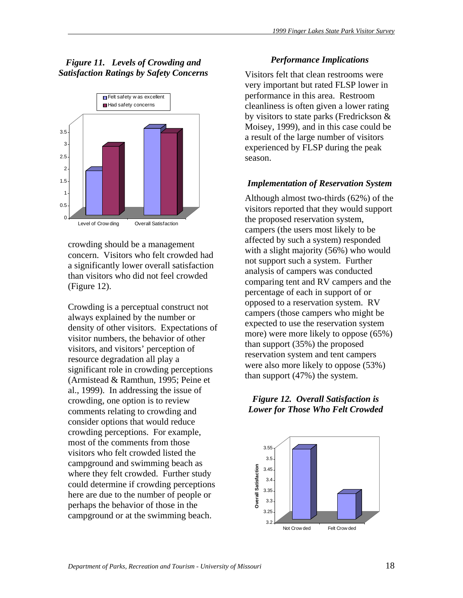# *Figure 11. Levels of Crowding and Satisfaction Ratings by Safety Concerns*



crowding should be a management concern. Visitors who felt crowded had a significantly lower overall satisfaction than visitors who did not feel crowded (Figure 12).

Crowding is a perceptual construct not always explained by the number or density of other visitors. Expectations of visitor numbers, the behavior of other visitors, and visitors' perception of resource degradation all play a significant role in crowding perceptions (Armistead & Ramthun, 1995; Peine et al., 1999). In addressing the issue of crowding, one option is to review comments relating to crowding and consider options that would reduce crowding perceptions. For example, most of the comments from those visitors who felt crowded listed the campground and swimming beach as where they felt crowded. Further study could determine if crowding perceptions here are due to the number of people or perhaps the behavior of those in the campground or at the swimming beach.

### *Performance Implications*

Visitors felt that clean restrooms were very important but rated FLSP lower in performance in this area. Restroom cleanliness is often given a lower rating by visitors to state parks (Fredrickson & Moisey, 1999), and in this case could be a result of the large number of visitors experienced by FLSP during the peak season.

# *Implementation of Reservation System*

Although almost two-thirds (62%) of the visitors reported that they would support the proposed reservation system, campers (the users most likely to be affected by such a system) responded with a slight majority (56%) who would not support such a system. Further analysis of campers was conducted comparing tent and RV campers and the percentage of each in support of or opposed to a reservation system. RV campers (those campers who might be expected to use the reservation system more) were more likely to oppose (65%) than support (35%) the proposed reservation system and tent campers were also more likely to oppose (53%) than support (47%) the system.

# *Figure 12. Overall Satisfaction is Lower for Those Who Felt Crowded*

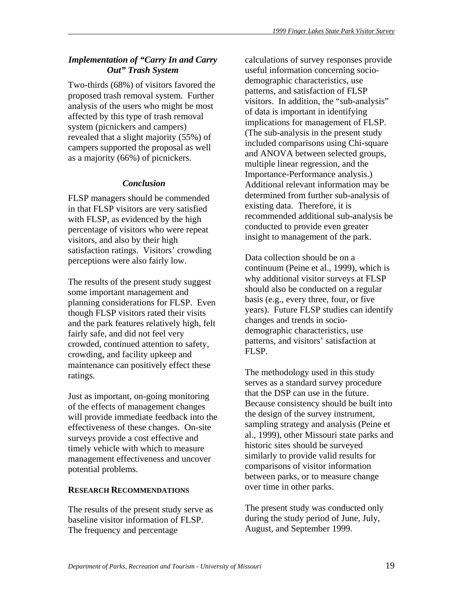# *Implementation of "Carry In and Carry Out" Trash System*

Two-thirds (68%) of visitors favored the proposed trash removal system. Further analysis of the users who might be most affected by this type of trash removal system (picnickers and campers) revealed that a slight majority (55%) of campers supported the proposal as well as a majority (66%) of picnickers.

# *Conclusion*

FLSP managers should be commended in that FLSP visitors are very satisfied with FLSP, as evidenced by the high percentage of visitors who were repeat visitors, and also by their high satisfaction ratings. Visitors' crowding perceptions were also fairly low.

The results of the present study suggest some important management and planning considerations for FLSP. Even though FLSP visitors rated their visits and the park features relatively high, felt fairly safe, and did not feel very crowded, continued attention to safety, crowding, and facility upkeep and maintenance can positively effect these ratings.

Just as important, on-going monitoring of the effects of management changes will provide immediate feedback into the effectiveness of these changes. On-site surveys provide a cost effective and timely vehicle with which to measure management effectiveness and uncover potential problems.

# **RESEARCH RECOMMENDATIONS**

The results of the present study serve as baseline visitor information of FLSP. The frequency and percentage

calculations of survey responses provide useful information concerning sociodemographic characteristics, use patterns, and satisfaction of FLSP visitors. In addition, the "sub-analysis" of data is important in identifying implications for management of FLSP. (The sub-analysis in the present study included comparisons using Chi-square and ANOVA between selected groups, multiple linear regression, and the Importance-Performance analysis.) Additional relevant information may be determined from further sub-analysis of existing data. Therefore, it is recommended additional sub-analysis be conducted to provide even greater insight to management of the park.

Data collection should be on a continuum (Peine et al., 1999), which is why additional visitor surveys at FLSP should also be conducted on a regular basis (e.g., every three, four, or five years). Future FLSP studies can identify changes and trends in sociodemographic characteristics, use patterns, and visitors' satisfaction at FLSP.

The methodology used in this study serves as a standard survey procedure that the DSP can use in the future. Because consistency should be built into the design of the survey instrument, sampling strategy and analysis (Peine et al., 1999), other Missouri state parks and historic sites should be surveyed similarly to provide valid results for comparisons of visitor information between parks, or to measure change over time in other parks.

The present study was conducted only during the study period of June, July, August, and September 1999.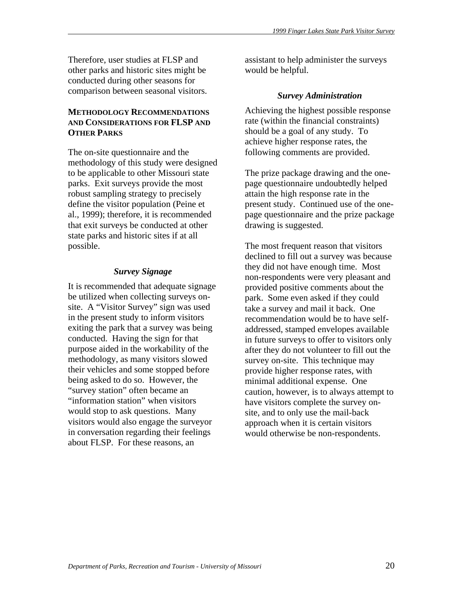Therefore, user studies at FLSP and other parks and historic sites might be conducted during other seasons for comparison between seasonal visitors.

### **METHODOLOGY RECOMMENDATIONS AND CONSIDERATIONS FOR FLSP AND OTHER PARKS**

The on-site questionnaire and the methodology of this study were designed to be applicable to other Missouri state parks. Exit surveys provide the most robust sampling strategy to precisely define the visitor population (Peine et al., 1999); therefore, it is recommended that exit surveys be conducted at other state parks and historic sites if at all possible.

# *Survey Signage*

It is recommended that adequate signage be utilized when collecting surveys onsite. A "Visitor Survey" sign was used in the present study to inform visitors exiting the park that a survey was being conducted. Having the sign for that purpose aided in the workability of the methodology, as many visitors slowed their vehicles and some stopped before being asked to do so. However, the "survey station" often became an "information station" when visitors would stop to ask questions. Many visitors would also engage the surveyor in conversation regarding their feelings about FLSP. For these reasons, an

assistant to help administer the surveys would be helpful.

### *Survey Administration*

Achieving the highest possible response rate (within the financial constraints) should be a goal of any study. To achieve higher response rates, the following comments are provided.

The prize package drawing and the onepage questionnaire undoubtedly helped attain the high response rate in the present study. Continued use of the onepage questionnaire and the prize package drawing is suggested.

The most frequent reason that visitors declined to fill out a survey was because they did not have enough time. Most non-respondents were very pleasant and provided positive comments about the park. Some even asked if they could take a survey and mail it back. One recommendation would be to have selfaddressed, stamped envelopes available in future surveys to offer to visitors only after they do not volunteer to fill out the survey on-site. This technique may provide higher response rates, with minimal additional expense. One caution, however, is to always attempt to have visitors complete the survey onsite, and to only use the mail-back approach when it is certain visitors would otherwise be non-respondents.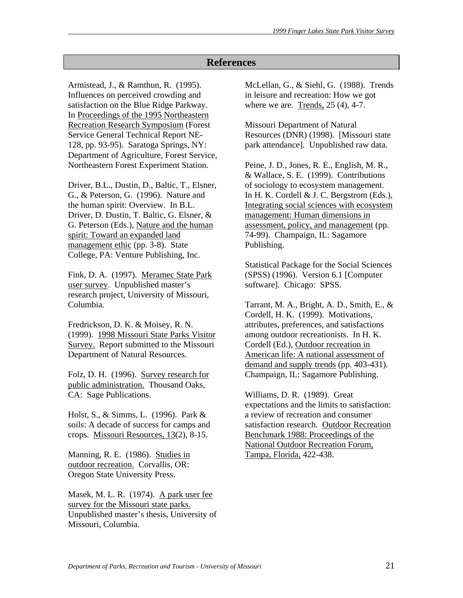# **References**

Armistead, J., & Ramthun, R. (1995). Influences on perceived crowding and satisfaction on the Blue Ridge Parkway. In Proceedings of the 1995 Northeastern Recreation Research Symposium (Forest Service General Technical Report NE-128, pp. 93-95). Saratoga Springs, NY: Department of Agriculture, Forest Service, Northeastern Forest Experiment Station.

Driver, B.L., Dustin, D., Baltic, T., Elsner, G., & Peterson, G. (1996). Nature and the human spirit: Overview. In B.L. Driver, D. Dustin, T. Baltic, G. Elsner, & G. Peterson (Eds.), Nature and the human spirit: Toward an expanded land management ethic (pp. 3-8). State College, PA: Venture Publishing, Inc.

Fink, D. A. (1997). Meramec State Park user survey. Unpublished master's research project, University of Missouri, Columbia.

Fredrickson, D. K. & Moisey, R. N. (1999). 1998 Missouri State Parks Visitor Survey. Report submitted to the Missouri Department of Natural Resources.

Folz, D. H. (1996). Survey research for public administration. Thousand Oaks, CA: Sage Publications.

Holst, S., & Simms, L. (1996). Park & soils: A decade of success for camps and crops. Missouri Resources, 13(2), 8-15.

Manning, R. E. (1986). Studies in outdoor recreation. Corvallis, OR: Oregon State University Press.

Masek, M. L. R. (1974). A park user fee survey for the Missouri state parks. Unpublished master's thesis, University of Missouri, Columbia.

McLellan, G., & Siehl, G. (1988). Trends in leisure and recreation: How we got where we are. Trends, 25 (4), 4-7.

Missouri Department of Natural Resources (DNR) (1998). [Missouri state park attendance]. Unpublished raw data.

Peine, J. D., Jones, R. E., English, M. R., & Wallace, S. E. (1999). Contributions of sociology to ecosystem management. In H. K. Cordell & J. C. Bergstrom (Eds.), Integrating social sciences with ecosystem management: Human dimensions in assessment, policy, and management (pp. 74-99). Champaign, IL: Sagamore Publishing.

Statistical Package for the Social Sciences (SPSS) (1996). Version 6.1 [Computer software]. Chicago: SPSS.

Tarrant, M. A., Bright, A. D., Smith, E., & Cordell, H. K. (1999). Motivations, attributes, preferences, and satisfactions among outdoor recreationists. In H. K. Cordell (Ed.), Outdoor recreation in American life: A national assessment of demand and supply trends (pp. 403-431). Champaign, IL: Sagamore Publishing.

Williams, D. R. (1989). Great expectations and the limits to satisfaction: a review of recreation and consumer satisfaction research. Outdoor Recreation Benchmark 1988: Proceedings of the National Outdoor Recreation Forum, Tampa, Florida, 422-438.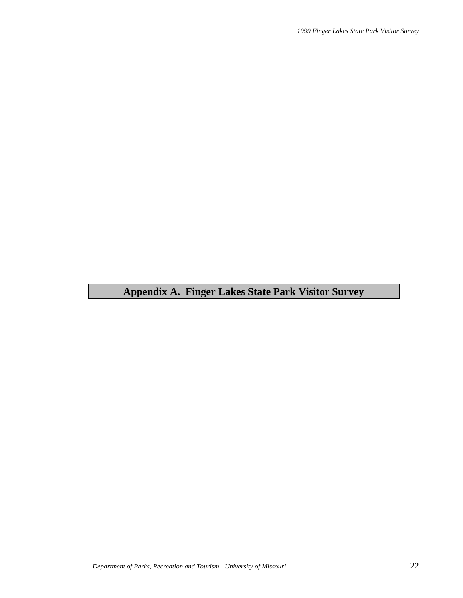# **Appendix A. Finger Lakes State Park Visitor Survey**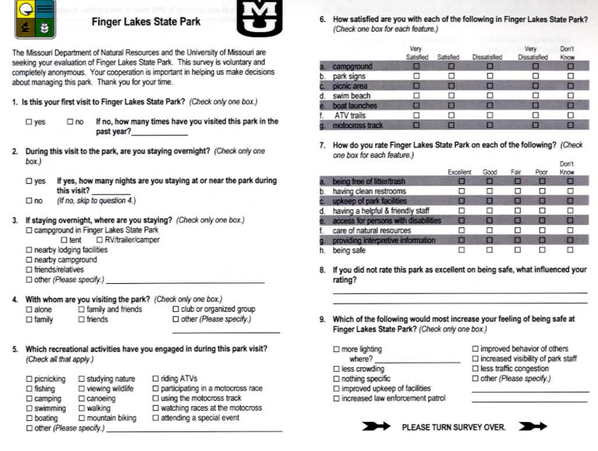

# **Finger Lakes State Park**



The Missouri Department of Natural Resources and the University of Missouri are seeking your evaluation of Finger Lakes State Park. This survey is voluntary and completely anonymous. Your cooperation is important in helping us make decisions about managing this park. Thank you for your time.

1. Is this your first visit to Finger Lakes State Park? (Check only one box.)

- If no, how many times have you visited this park in the  $\square$  yes  $\square$ no past year?
- 2. During this visit to the park, are you staying overnight? (Check only one box.)
	- If yes, how many nights are you staying at or near the park during  $\square$  yes this visit?
	- (If no, skip to question 4.)  $\square$ no
- 3. If staving overnight, where are you staying? (Check only one box.) □ campground in Finger Lakes State Park
	- $\Box$  tent □ RV/trailer/camper
	- $\Box$  nearby lodging facilities
	- □ nearby campground
	- □ friends/relatives
	- Dother (Please specify.)
- With whom are you visiting the park? (Check only one box.)

 $\square$  family and friends  $\Box$  alone  $\Box$  family  $\Box$  friends

□ club or organized group D other (Please specify.)

5. Which recreational activities have you engaged in during this park visit? (Check all that apply.)

| □ picnicking             | $\square$ studying nature  | $\Box$ riding ATVs                          |
|--------------------------|----------------------------|---------------------------------------------|
| $\Box$ fishing           | $\square$ viewing wildlife | $\square$ participating in a motocross race |
| $\Box$ camping           | $\square$ canoeing         | $\Box$ using the motocross track            |
| $\square$ swimming       | $\square$ walking          | $\square$ watching races at the motocross   |
| $\Box$ boating           | □ mountain biking          | $\Box$ attending a special event            |
| Dother (Please specify.) |                            |                                             |

6. How satisfied are you with each of the following in Finger Lakes State Park? (Check one box for each feature.)

|    |                 | Very<br>Satisfied | Satisfied | <b>Dissatisfied</b> | Very<br>Dissatisfied | Don't<br>Know |  |
|----|-----------------|-------------------|-----------|---------------------|----------------------|---------------|--|
| æ  | campground      |                   |           |                     |                      |               |  |
| b. | park signs      |                   |           |                     |                      |               |  |
| c. | picnic area     |                   |           |                     |                      | ш             |  |
| d. | swim beach      |                   |           |                     | ш                    | □             |  |
| e  | boat launches   |                   |           |                     |                      |               |  |
| f. | ATV trails      |                   |           |                     |                      |               |  |
| g. | motocross track |                   |           |                     |                      |               |  |

7. How do you rate Finger Lakes State Park on each of the following? (Check one box for each feature.) - -

|                                      | Excellent | Good | Fair | Poor | <b>Light</b><br>Know |  |
|--------------------------------------|-----------|------|------|------|----------------------|--|
| being free of litten/trash           |           |      |      | ▬    | ▣                    |  |
| having clean restrooms               |           |      | H    | п    | □                    |  |
| upkeep of park facilities            | ■         |      | ш    | ▬    | о                    |  |
| having a helpful & friendly staff    |           |      |      | п    | п                    |  |
| access for persons with disabilities | ▬         | п    | ш    | □    | о                    |  |
| care of natural resources            |           |      | ш    | o    | u                    |  |
| providing interpretive information   |           |      |      | п    | о                    |  |
| being safe                           |           |      |      |      |                      |  |

- 8. If you did not rate this park as excellent on being safe, what influenced your rating?
- 9. Which of the following would most increase your feeling of being safe at Finger Lakes State Park? (Check only one box.)
	- $\Box$  improved behavior of others  $\square$  more lighting where?  $\Box$  increased visibility of park staff  $\square$  less crowding □ less traffic congestion □ other (Please specify.)  $\Box$  nothing specific  $\square$  improved upkeep of facilities □ increased law enforcement patrol





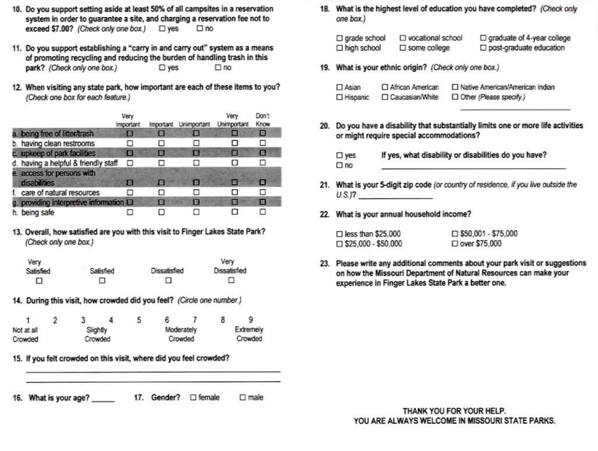- 10. Do you support setting aside at least 50% of all campsites in a reservation system in order to quarantee a site, and charging a reservation fee not to  $\Box$ no
- 11. Do you support establishing a "carry in and carry out" system as a means of promoting recycling and reducing the burden of handling trash in this park? (Check only one box.)  $\Box$ no  $\square$  yes
- 12. When visiting any state park, how important are each of these items to you? (Check one box for each feature.)

|                                            | Very<br><b>Important</b> | Important | Unimportant | Very<br>Unimportant | Don't<br>Know |  |
|--------------------------------------------|--------------------------|-----------|-------------|---------------------|---------------|--|
| a. being free of litten/trash              | Ð                        | в         |             | ь                   | Θ             |  |
| b. having clean restrooms                  |                          | ⊔         | 1.          | Π                   | Ω             |  |
| c. upkeep of park facilities               | о                        | П         | о           | о                   | o             |  |
| d. having a helpful & friendly staff       | п                        |           |             | п                   | □             |  |
| e. access for persons with<br>disabilities | ш                        | E         | о           | ▬                   | О             |  |
| f. care of natural resources               |                          | п         |             | п                   | □             |  |
| g. providing interpretive information D    |                          | в         | П           | п                   | П             |  |
| h. being safe                              |                          | п         |             |                     | п             |  |

13. Overall, how satisfied are you with this visit to Finger Lakes State Park? (Check only one box.)

| Very      |           |                     | Very         |
|-----------|-----------|---------------------|--------------|
| Satisfied | Satisfied | <b>Dissatisfied</b> | Dissatisfied |
| □         | п         | п                   | □            |

14. During this visit, how crowded did you feel? (Circle one number.)

|            | ຳ |          | 5 | 6 |            | 9         |
|------------|---|----------|---|---|------------|-----------|
| Not at all |   | Slightly |   |   | Moderately | Extremely |
| Crowded    |   | Crowded  |   |   | Crowded    | Crowded   |

15. If you felt crowded on this visit, where did you feel crowded?

16. What is your age?  $\square$  male 18. What is the highest level of education you have completed? (Check only one box.)

| grade school       | □ vocational school    | $\square$ graduate of 4-year college |
|--------------------|------------------------|--------------------------------------|
| $\Box$ high school | $\square$ some college | $\square$ post-graduate education    |

19. What is your ethnic origin? (Check only one box.)

| $\Box$ Asian | □ African American | □ Native American/American Indian |
|--------------|--------------------|-----------------------------------|
| □ Hispanic   | □ Caucasian/White  | Other (Please specify.)           |

- 20. Do you have a disability that substantially limits one or more life activities or might require special accommodations?
	- If yes, what disability or disabilities do you have?  $\square$  yes  $\Box$  no
- 21. What is your 5-digit zip code (or country of residence, if you live outside the  $U.S.P$
- 22. What is your annual household income?

| $\square$ less than \$25.000  | $\Box$ \$50,001 - \$75,000 |
|-------------------------------|----------------------------|
| $\square$ \$25,000 - \$50.000 | □ over \$75,000            |

23. Please write any additional comments about your park visit or suggestions on how the Missouri Department of Natural Resources can make your experience in Finger Lakes State Park a better one.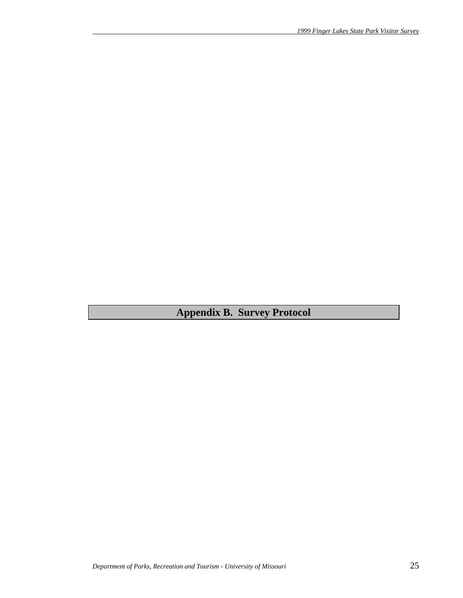**Appendix B. Survey Protocol**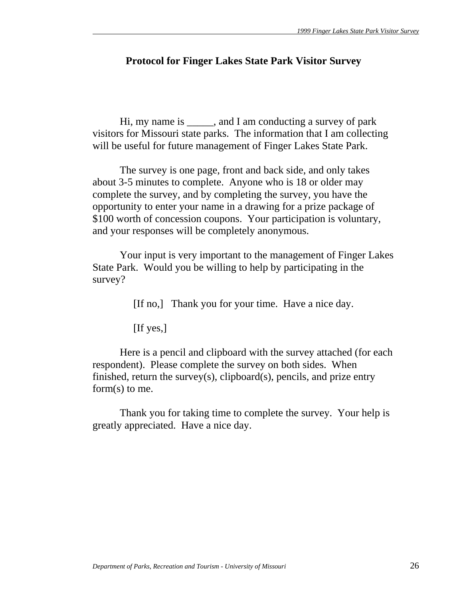# **Protocol for Finger Lakes State Park Visitor Survey**

 Hi, my name is \_\_\_\_\_, and I am conducting a survey of park visitors for Missouri state parks. The information that I am collecting will be useful for future management of Finger Lakes State Park.

 The survey is one page, front and back side, and only takes about 3-5 minutes to complete. Anyone who is 18 or older may complete the survey, and by completing the survey, you have the opportunity to enter your name in a drawing for a prize package of \$100 worth of concession coupons. Your participation is voluntary, and your responses will be completely anonymous.

 Your input is very important to the management of Finger Lakes State Park. Would you be willing to help by participating in the survey?

[If no,] Thank you for your time. Have a nice day.

[If yes,]

 Here is a pencil and clipboard with the survey attached (for each respondent). Please complete the survey on both sides. When finished, return the survey(s), clipboard(s), pencils, and prize entry form(s) to me.

 Thank you for taking time to complete the survey. Your help is greatly appreciated. Have a nice day.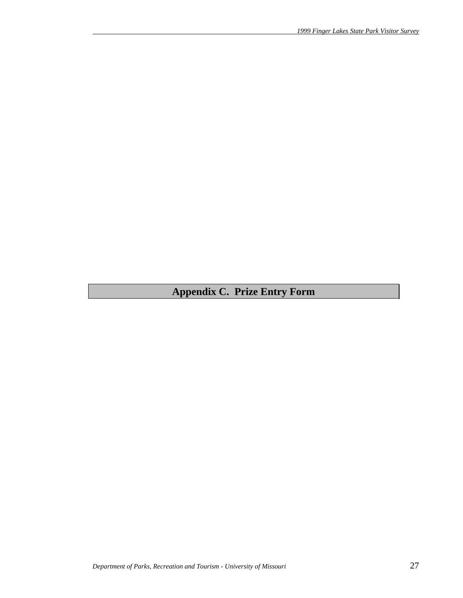# **Appendix C. Prize Entry Form**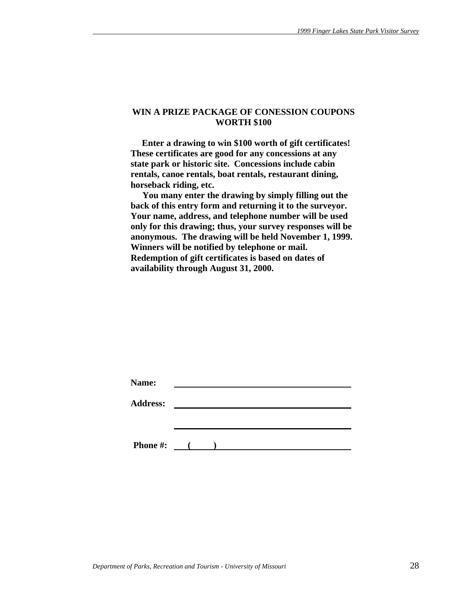#### **WIN A PRIZE PACKAGE OF CONESSION COUPONS WORTH \$100**

 **Enter a drawing to win \$100 worth of gift certificates! These certificates are good for any concessions at any state park or historic site. Concessions include cabin rentals, canoe rentals, boat rentals, restaurant dining, horseback riding, etc.** 

 **You many enter the drawing by simply filling out the back of this entry form and returning it to the surveyor. Your name, address, and telephone number will be used only for this drawing; thus, your survey responses will be anonymous. The drawing will be held November 1, 1999. Winners will be notified by telephone or mail. Redemption of gift certificates is based on dates of availability through August 31, 2000.** 

| Name:           |                                                   |  |  |  |
|-----------------|---------------------------------------------------|--|--|--|
| <b>Address:</b> |                                                   |  |  |  |
|                 |                                                   |  |  |  |
|                 |                                                   |  |  |  |
| <b>Phone #:</b> | $\mathcal{L}$ and $\mathcal{L}$ and $\mathcal{L}$ |  |  |  |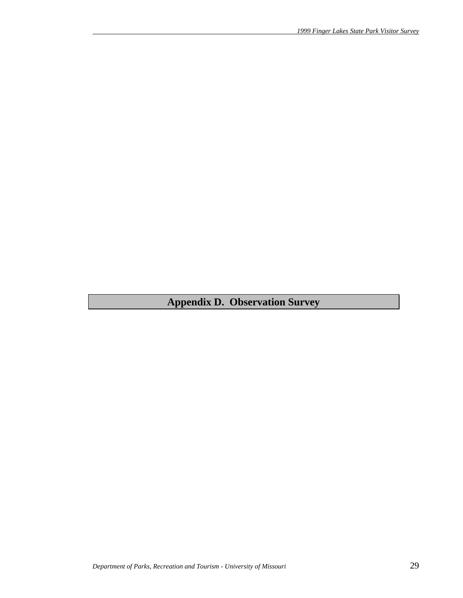**Appendix D. Observation Survey**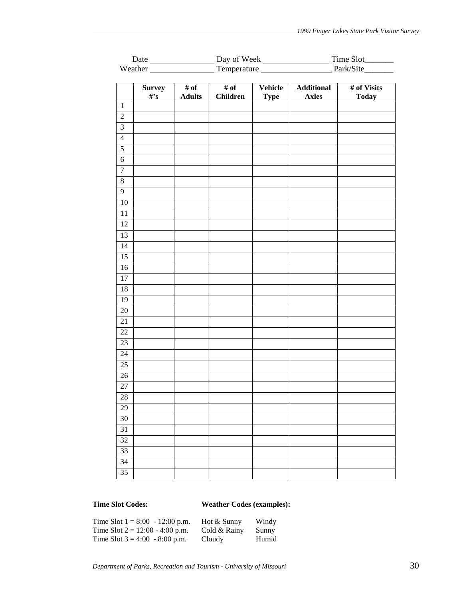|               |                             |               |                 | $Time$ Slot $\_\_\_\_\_\_\_\_\_\_$ |                                                                          |  |
|---------------|-----------------------------|---------------|-----------------|------------------------------------|--------------------------------------------------------------------------|--|
|               |                             |               |                 |                                    |                                                                          |  |
| <b>Survey</b> | $\overline{\# \text{ of }}$ | # of          | Vehicle         | <b>Additional</b>                  | # of Visits<br><b>Today</b>                                              |  |
|               |                             |               |                 |                                    |                                                                          |  |
|               |                             |               |                 |                                    |                                                                          |  |
|               |                             |               |                 |                                    |                                                                          |  |
|               |                             |               |                 |                                    |                                                                          |  |
|               |                             |               |                 |                                    |                                                                          |  |
|               |                             |               |                 |                                    |                                                                          |  |
|               |                             |               |                 |                                    |                                                                          |  |
|               |                             |               |                 |                                    |                                                                          |  |
|               |                             |               |                 |                                    |                                                                          |  |
|               |                             |               |                 |                                    |                                                                          |  |
|               |                             |               |                 |                                    |                                                                          |  |
|               |                             |               |                 |                                    |                                                                          |  |
|               |                             |               |                 |                                    |                                                                          |  |
|               |                             |               |                 |                                    |                                                                          |  |
|               |                             |               |                 |                                    |                                                                          |  |
|               |                             |               |                 |                                    |                                                                          |  |
|               |                             |               |                 |                                    |                                                                          |  |
|               |                             |               |                 |                                    |                                                                          |  |
|               |                             |               |                 |                                    |                                                                          |  |
|               |                             |               |                 |                                    |                                                                          |  |
|               |                             |               |                 |                                    |                                                                          |  |
|               |                             |               |                 |                                    |                                                                          |  |
|               |                             |               |                 |                                    |                                                                          |  |
|               |                             |               |                 |                                    |                                                                          |  |
|               |                             |               |                 |                                    |                                                                          |  |
|               |                             |               |                 |                                    |                                                                          |  |
|               |                             |               |                 |                                    |                                                                          |  |
|               |                             |               |                 |                                    |                                                                          |  |
|               |                             |               |                 |                                    |                                                                          |  |
|               |                             |               |                 |                                    |                                                                          |  |
|               |                             |               |                 |                                    |                                                                          |  |
|               |                             |               |                 |                                    |                                                                          |  |
|               |                             |               |                 |                                    |                                                                          |  |
|               |                             |               |                 |                                    |                                                                          |  |
|               |                             |               |                 |                                    |                                                                          |  |
|               | $\#$ 's                     | <b>Adults</b> | <b>Children</b> | <b>Type</b>                        | Day of Week<br>Weather Temperature Fernandezer Park/Site<br><b>Axles</b> |  |

# **Time Slot Codes: Weather Codes (examples):**

| Time Slot $1 = 8:00 - 12:00$ p.m. | Hot & Sunny  | Windy |
|-----------------------------------|--------------|-------|
| Time Slot $2 = 12:00 - 4:00$ p.m. | Cold & Rainy | Sunny |
| Time Slot $3 = 4:00 - 8:00$ p.m.  | Cloudy       | Humid |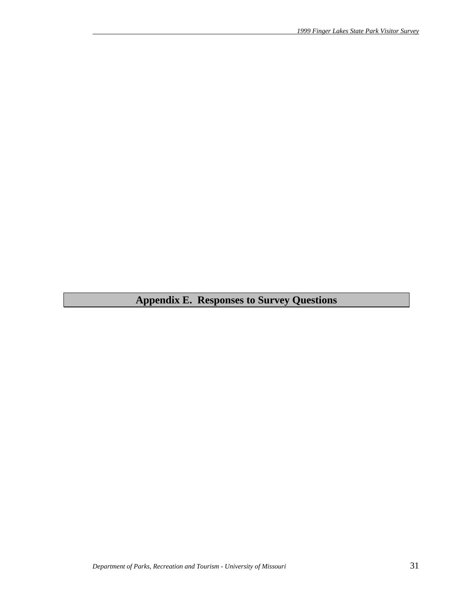# **Appendix E. Responses to Survey Questions**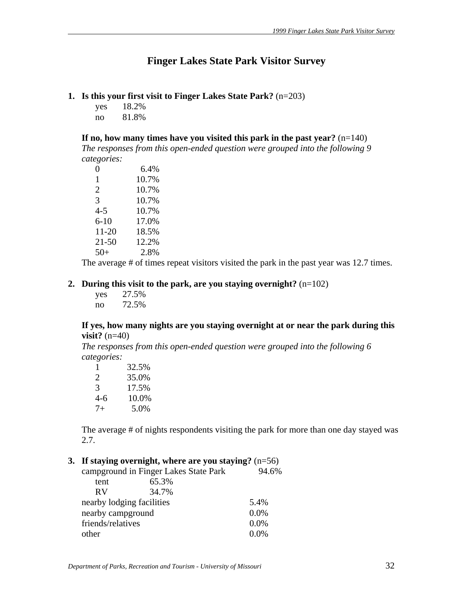# **Finger Lakes State Park Visitor Survey**

#### **1. Is this your first visit to Finger Lakes State Park?** (n=203)

yes 18.2% no 81.8%

**If no, how many times have you visited this park in the past year?** (n=140) *The responses from this open-ended question were grouped into the following 9 categories:*

| 0         | 6.4%  |
|-----------|-------|
| 1         | 10.7% |
| 2         | 10.7% |
| 3         | 10.7% |
| $4 - 5$   | 10.7% |
| $6 - 10$  | 17.0% |
| $11 - 20$ | 18.5% |
| $21 - 50$ | 12.2% |
| $50+$     | 2.8%  |

The average # of times repeat visitors visited the park in the past year was 12.7 times.

#### **2. During this visit to the park, are you staying overnight?** (n=102)

| yes | 27.5% |
|-----|-------|
| no  | 72.5% |

#### **If yes, how many nights are you staying overnight at or near the park during this visit?** (n=40)

*The responses from this open-ended question were grouped into the following 6 categories:*

| 1    | 32.5% |
|------|-------|
| 2    | 35.0% |
| 3    | 17.5% |
| 4-6  | 10.0% |
| $7+$ | 5.0%  |

The average # of nights respondents visiting the park for more than one day stayed was 2.7.

#### **3. If staying overnight, where are you staying?** (n=56)

|                   | campground in Finger Lakes State Park |      |  |
|-------------------|---------------------------------------|------|--|
| tent              | 65.3%                                 |      |  |
| <b>RV</b>         | 34.7%                                 |      |  |
|                   | nearby lodging facilities             |      |  |
| nearby campground | 0.0%                                  |      |  |
| friends/relatives |                                       | 0.0% |  |
| other             |                                       | 0.0% |  |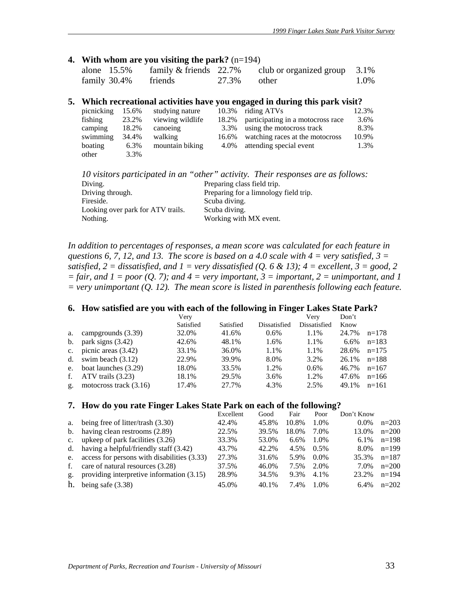#### **4. With whom are you visiting the park?** (n=194)

| alone 15.5%  | family $&$ friends 22.7% |             | club or organized group $3.1\%$ |      |
|--------------|--------------------------|-------------|---------------------------------|------|
| family 30.4% | friends                  | 27.3% other |                                 | 1.0% |

#### **5. Which recreational activities have you engaged in during this park visit?**

| picnicking | 15.6% | studying nature  | 10.3% | riding ATVs                       | 12.3% |
|------------|-------|------------------|-------|-----------------------------------|-------|
| fishing    | 23.2% | viewing wildlife | 18.2% | participating in a motocross race | 3.6%  |
| camping    | 18.2% | canoeing         | 3.3%  | using the motocross track         | 8.3%  |
| swimming   | 34.4% | walking          | 16.6% | watching races at the motocross   | 10.9% |
| boating    | 6.3%  | mountain biking  | 4.0%  | attending special event           | 1.3%  |
| other      | 3.3%  |                  |       |                                   |       |

|                                   | 10 visitors participated in an "other" activity. Their responses are as follows: |
|-----------------------------------|----------------------------------------------------------------------------------|
| Diving.                           | Preparing class field trip.                                                      |
| Driving through.                  | Preparing for a limnology field trip.                                            |
| Fireside.                         | Scuba diving.                                                                    |
| Looking over park for ATV trails. | Scuba diving.                                                                    |
| Nothing.                          | Working with MX event.                                                           |

*In addition to percentages of responses, a mean score was calculated for each feature in questions 6, 7, 12, and 13. The score is based on a 4.0 scale with 4 = very satisfied, 3 = satisfied,*  $2 = dissatisfied$ , and  $1 = very dissatisfied$  (Q. 6 & 13);  $4 = excellent$ ,  $3 = good$ , 2  $=$  fair, and  $1 =$  poor  $(Q, 7)$ ; and  $4 =$  very important,  $3 =$  important,  $2 =$  unimportant, and  $1$ *= very unimportant (Q. 12). The mean score is listed in parenthesis following each feature.* 

#### **6. How satisfied are you with each of the following in Finger Lakes State Park?**

|                |                          | Very      |           |              | Verv         | Don't   |         |
|----------------|--------------------------|-----------|-----------|--------------|--------------|---------|---------|
|                |                          | Satisfied | Satisfied | Dissatisfied | Dissatisfied | Know    |         |
| a.             | campgrounds (3.39)       | 32.0%     | 41.6%     | $0.6\%$      | 1.1%         | 24.7%   | $n=178$ |
| b.             | park signs $(3.42)$      | 42.6%     | 48.1%     | 1.6%         | 1.1%         | $6.6\%$ | $n=183$ |
| $c_{\cdot}$    | picnic areas $(3.42)$    | 33.1%     | 36.0%     | 1.1%         | 1.1%         | 28.6%   | $n=175$ |
| $d_{\cdot}$    | swim beach $(3.12)$      | 22.9%     | 39.9%     | 8.0%         | 3.2%         | 26.1%   | $n=188$ |
| e <sub>1</sub> | boat launches (3.29)     | 18.0%     | 33.5%     | 1.2%         | $0.6\%$      | 46.7%   | $n=167$ |
| f.             | ATV trails (3.23)        | 18.1%     | 29.5%     | 3.6%         | 1.2%         | 47.6%   | $n=166$ |
| g <sub>1</sub> | motocross track $(3.16)$ | 17.4%     | 27.7%     | 4.3%         | 2.5%         | 49.1%   | $n=161$ |

#### **7. How do you rate Finger Lakes State Park on each of the following?**

|    |                                                | Excellent | Good  | Fair    | Poor    | Don't Know |         |
|----|------------------------------------------------|-----------|-------|---------|---------|------------|---------|
|    | a. being free of litter/trash (3.30)           | 42.4%     | 45.8% | 10.8%   | 1.0%    | $0.0\%$    | $n=203$ |
|    | b. having clean restrooms (2.89)               | 22.5%     | 39.5% | 18.0%   | 7.0%    | 13.0%      | $n=200$ |
|    | c. upkeep of park facilities $(3.26)$          | 33.3%     | 53.0% | $6.6\%$ | 1.0%    | $6.1\%$    | $n=198$ |
|    | d. having a helpful/friendly staff $(3.42)$    | 43.7%     | 42.2% | 4.5%    | $0.5\%$ | 8.0%       | $n=199$ |
|    | e. access for persons with disabilities (3.33) | 27.3%     | 31.6% | 5.9%    | $0.0\%$ | 35.3%      | $n=187$ |
|    | f. care of natural resources $(3.28)$          | 37.5%     | 46.0% | 7.5%    | 2.0%    | 7.0%       | $n=200$ |
|    | g. providing interpretive information (3.15)   | 28.9%     | 34.5% | 9.3%    | 4.1%    | 23.2%      | $n=194$ |
| h. | being safe $(3.38)$                            | 45.0%     | 40.1% | 7.4%    | 1.0%    | $6.4\%$    | $n=202$ |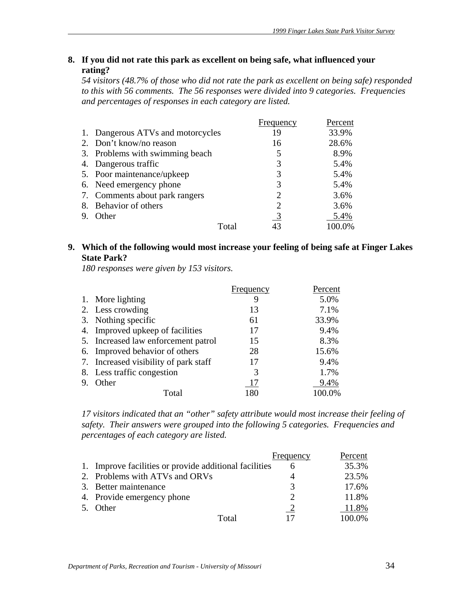### **8. If you did not rate this park as excellent on being safe, what influenced your rating?**

*54 visitors (48.7% of those who did not rate the park as excellent on being safe) responded to this with 56 comments. The 56 responses were divided into 9 categories. Frequencies and percentages of responses in each category are listed.* 

|    |                                   | Frequency      | Percent |
|----|-----------------------------------|----------------|---------|
|    | 1. Dangerous ATVs and motorcycles | 19             | 33.9%   |
|    | 2. Don't know/no reason           | 16             | 28.6%   |
|    | 3. Problems with swimming beach   | 5              | 8.9%    |
|    | 4. Dangerous traffic              | 3              | 5.4%    |
|    | 5. Poor maintenance/upkeep        | 3              | 5.4%    |
|    | 6. Need emergency phone           | 3              | 5.4%    |
|    | 7. Comments about park rangers    | 2              | 3.6%    |
| 8. | Behavior of others                | 2              | 3.6%    |
| 9. | Other                             | $\mathfrak{Z}$ | 5.4%    |
|    | Total                             |                | 100.0%  |

### **9. Which of the following would most increase your feeling of being safe at Finger Lakes State Park?**

*180 responses were given by 153 visitors.*

|                                       | Frequency | Percent |
|---------------------------------------|-----------|---------|
| 1. More lighting                      | 9         | 5.0%    |
| 2. Less crowding                      | 13        | 7.1%    |
| 3. Nothing specific                   | 61        | 33.9%   |
| 4. Improved upkeep of facilities      | 17        | 9.4%    |
| 5. Increased law enforcement patrol   | 15        | 8.3%    |
| 6. Improved behavior of others        | 28        | 15.6%   |
| 7. Increased visibility of park staff | 17        | 9.4%    |
| 8. Less traffic congestion            | 3         | 1.7%    |
| Other                                 | 17        | 9.4%    |
| Total                                 | 180       | 100.0%  |

*17 visitors indicated that an "other" safety attribute would most increase their feeling of safety. Their answers were grouped into the following 5 categories. Frequencies and percentages of each category are listed.*

|                                                        | Frequency | Percent |
|--------------------------------------------------------|-----------|---------|
| 1. Improve facilities or provide additional facilities |           | 35.3%   |
| 2. Problems with ATVs and ORVs                         |           | 23.5%   |
| 3. Better maintenance                                  | 3         | 17.6%   |
| 4. Provide emergency phone                             | ာ         | 11.8%   |
| 5. Other                                               |           | 11.8%   |
| Total                                                  | 17        | 100.0%  |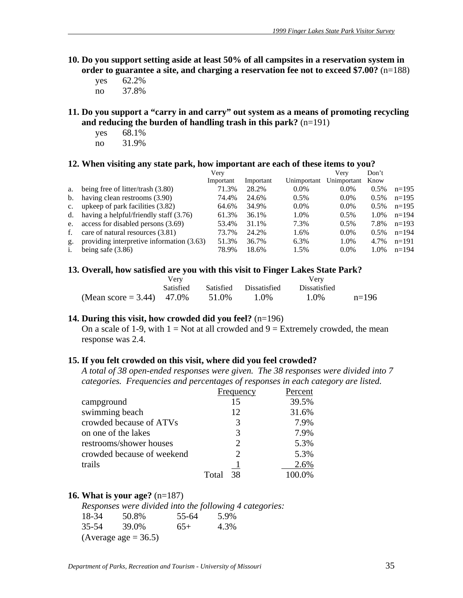**10. Do you support setting aside at least 50% of all campsites in a reservation system in order to guarantee a site, and charging a reservation fee not to exceed \$7.00?** (n=188)

| yes | 62.2% |
|-----|-------|
| no  | 37.8% |

- **11. Do you support a "carry in and carry" out system as a means of promoting recycling and reducing the burden of handling trash in this park?** (n=191)
	- yes 68.1%
	- no 31.9%

#### **12. When visiting any state park, how important are each of these items to you?**

|                |                                           | Verv      |           |             | Verv        | Don't   |         |
|----------------|-------------------------------------------|-----------|-----------|-------------|-------------|---------|---------|
|                |                                           | Important | Important | Unimportant | Unimportant | Know    |         |
| a.             | being free of litter/trash $(3.80)$       | 71.3%     | 28.2%     | $0.0\%$     | $0.0\%$     | $0.5\%$ | $n=195$ |
| $\mathbf{b}$ . | having clean restrooms (3.90)             | 74.4%     | 24.6%     | $0.5\%$     | $0.0\%$     | $0.5\%$ | $n=195$ |
| $c_{\cdot}$    | upkeep of park facilities (3.82)          | 64.6%     | 34.9%     | $0.0\%$     | $0.0\%$     | $0.5\%$ | $n=195$ |
| d.             | having a helpful/friendly staff (3.76)    | 61.3%     | 36.1%     | 1.0%        | 0.5%        | 1.0%    | $n=194$ |
| e.             | access for disabled persons (3.69)        | 53.4%     | 31.1%     | 7.3%        | 0.5%        | 7.8%    | $n=193$ |
| f.             | care of natural resources (3.81)          | 73.7%     | 24.2%     | 1.6%        | $0.0\%$     | $0.5\%$ | $n=194$ |
| g.             | providing interpretive information (3.63) | 51.3%     | 36.7%     | 6.3%        | 1.0%        | 4.7%    | $n=191$ |
| $\mathbf{1}$ . | being safe $(3.86)$                       | 78.9%     | 18.6%     | 1.5%        | $0.0\%$     | 1.0%    | $n=194$ |

#### 13. Overall, how satisfied are you with this visit to Finger Lakes State Park?

| Verv                      |                  |       | Very                   |              |         |
|---------------------------|------------------|-------|------------------------|--------------|---------|
|                           | <b>Satisfied</b> |       | Satisfied Dissatisfied | Dissatisfied |         |
| (Mean score = 3.44) 47.0% |                  | 51.0% | 1.0%                   | 1.0%         | $n=196$ |

#### **14. During this visit, how crowded did you feel?** (n=196)

On a scale of 1-9, with  $1 = Not$  at all crowded and  $9 = Extremely$  crowded, the mean response was 2.4.

#### **15. If you felt crowded on this visit, where did you feel crowded?**

*A total of 38 open-ended responses were given. The 38 responses were divided into 7 categories. Frequencies and percentages of responses in each category are listed.* 

|                            | Frequency             | Percent |
|----------------------------|-----------------------|---------|
| campground                 | 15                    | 39.5%   |
| swimming beach             | 12                    | 31.6%   |
| crowded because of ATVs    | 3                     | 7.9%    |
| on one of the lakes        | 3                     | 7.9%    |
| restrooms/shower houses    | 2                     | 5.3%    |
| crowded because of weekend | $\mathcal{D}_{\cdot}$ | 5.3%    |
| trails                     |                       | 2.6%    |
|                            | T <sub>0</sub><br>38  | 100.0%  |

#### **16. What is your age?** (n=187)

|       |                         |       | Responses were divided into the following 4 categories: |
|-------|-------------------------|-------|---------------------------------------------------------|
| 18-34 | 50.8%                   | 55-64 | 5.9%                                                    |
| 35-54 | 39.0%                   | $65+$ | 4.3%                                                    |
|       | (Average age $= 36.5$ ) |       |                                                         |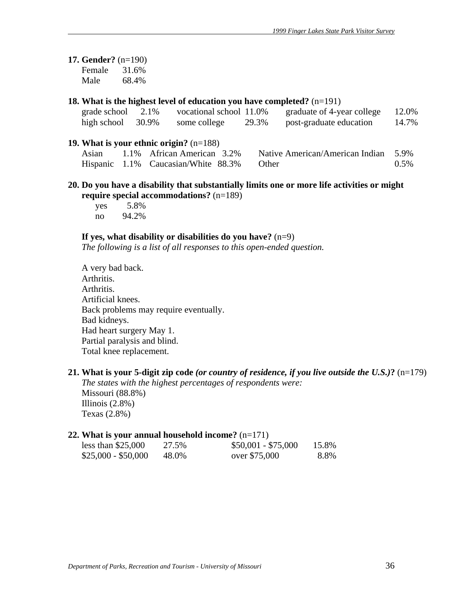# **17. Gender?** (n=190) Female 31.6% Male 68.4% **18. What is the highest level of education you have completed?** (n=191) grade school 2.1% vocational school 11.0% graduate of 4-year college 12.0% high school 30.9% some college 29.3% post-graduate education 14.7% **19. What is your ethnic origin?** (n=188) Asian 1.1% African American 3.2% Native American/American Indian 5.9%

#### **20. Do you have a disability that substantially limits one or more life activities or might require special accommodations?** (n=189)

Hispanic 1.1% Caucasian/White 88.3% Other 0.5%

 yes 5.8% no 94.2%

#### **If yes, what disability or disabilities do you have?** (n=9)

*The following is a list of all responses to this open-ended question.* 

 A very bad back. Arthritis. Arthritis. Artificial knees. Back problems may require eventually. Bad kidneys. Had heart surgery May 1. Partial paralysis and blind. Total knee replacement.

#### **21. What is your 5-digit zip code** *(or country of residence, if you live outside the U.S.)***?** (n=179)

*The states with the highest percentages of respondents were:*  Missouri (88.8%) Illinois  $(2.8\%)$ Texas (2.8%)

#### **22. What is your annual household income?** (n=171)

| less than $$25,000$ | 27.5% | $$50,001 - $75,000$ | 15.8% |
|---------------------|-------|---------------------|-------|
| $$25,000 - $50,000$ | 48.0% | over \$75,000       | 8.8%  |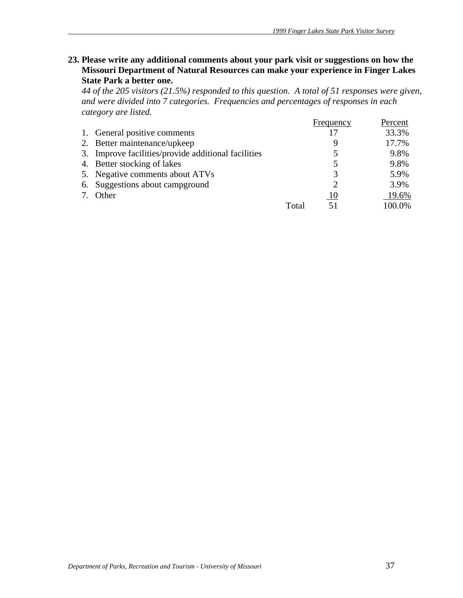**23. Please write any additional comments about your park visit or suggestions on how the Missouri Department of Natural Resources can make your experience in Finger Lakes State Park a better one.** 

*44 of the 205 visitors (21.5%) responded to this question. A total of 51 responses were given, and were divided into 7 categories. Frequencies and percentages of responses in each category are listed.*

|                                                     |       | Frequency | Percent |
|-----------------------------------------------------|-------|-----------|---------|
| 1. General positive comments                        |       |           | 33.3%   |
| 2. Better maintenance/upkeep                        |       |           | 17.7%   |
| 3. Improve facilities/provide additional facilities |       | 5         | 9.8%    |
| 4. Better stocking of lakes                         |       | 5         | 9.8%    |
| 5. Negative comments about ATVs                     |       | 3         | 5.9%    |
| 6. Suggestions about campground                     |       |           | 3.9%    |
| Other                                               |       | 10        | 19.6%   |
|                                                     | Total |           | 100.0%  |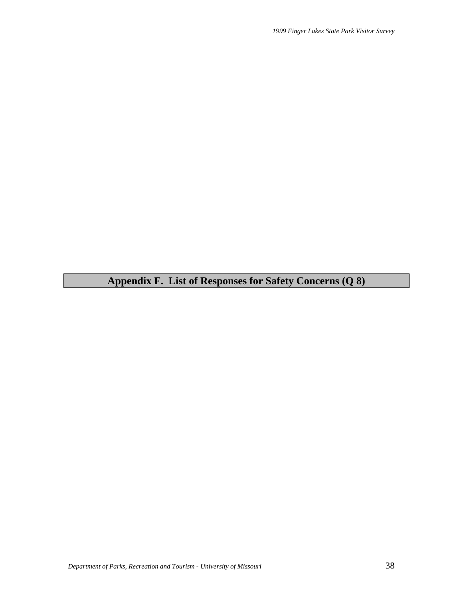**Appendix F. List of Responses for Safety Concerns (Q 8)**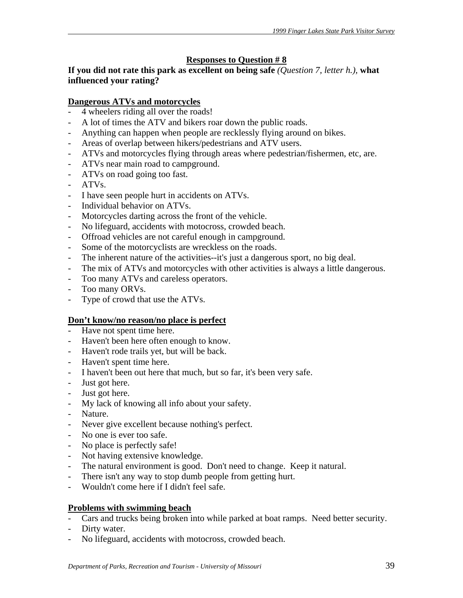# **Responses to Question # 8**

**If you did not rate this park as excellent on being safe** *(Question 7, letter h.),* **what influenced your rating?** 

# **Dangerous ATVs and motorcycles**

- 4 wheelers riding all over the roads!
- A lot of times the ATV and bikers roar down the public roads.
- Anything can happen when people are recklessly flying around on bikes.
- Areas of overlap between hikers/pedestrians and ATV users.
- ATVs and motorcycles flying through areas where pedestrian/fishermen, etc, are.
- ATVs near main road to campground.
- ATVs on road going too fast.
- ATVs.
- I have seen people hurt in accidents on ATVs.
- Individual behavior on ATVs.
- Motorcycles darting across the front of the vehicle.
- No lifeguard, accidents with motocross, crowded beach.
- Offroad vehicles are not careful enough in campground.
- Some of the motorcyclists are wreckless on the roads.
- The inherent nature of the activities--it's just a dangerous sport, no big deal.
- The mix of ATVs and motorcycles with other activities is always a little dangerous.
- Too many ATVs and careless operators.
- Too many ORVs.
- Type of crowd that use the ATVs.

# **Don't know/no reason/no place is perfect**

- Have not spent time here.
- Haven't been here often enough to know.
- Haven't rode trails yet, but will be back.
- Haven't spent time here.
- I haven't been out here that much, but so far, it's been very safe.
- Just got here.
- Just got here.
- My lack of knowing all info about your safety.
- Nature.
- Never give excellent because nothing's perfect.
- No one is ever too safe.
- No place is perfectly safe!
- Not having extensive knowledge.
- The natural environment is good. Don't need to change. Keep it natural.
- There isn't any way to stop dumb people from getting hurt.
- Wouldn't come here if I didn't feel safe.

# **Problems with swimming beach**

- Cars and trucks being broken into while parked at boat ramps. Need better security.
- Dirty water.
- No lifeguard, accidents with motocross, crowded beach.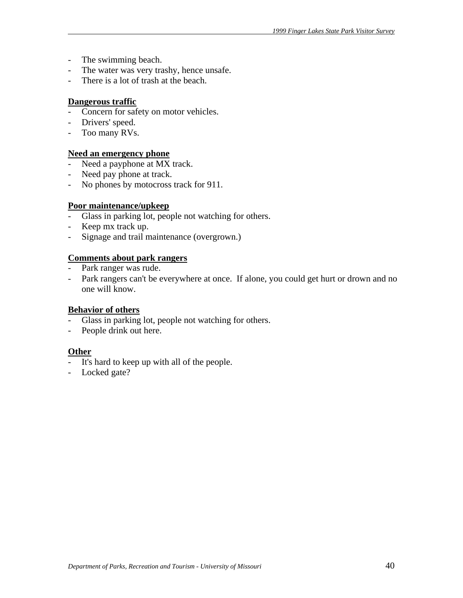- The swimming beach.
- The water was very trashy, hence unsafe.
- There is a lot of trash at the beach.

#### **Dangerous traffic**

- Concern for safety on motor vehicles.
- Drivers' speed.
- Too many RVs.

#### **Need an emergency phone**

- Need a payphone at  $MX$  track.
- Need pay phone at track.
- No phones by motocross track for 911.

#### **Poor maintenance/upkeep**

- Glass in parking lot, people not watching for others.
- Keep mx track up.
- Signage and trail maintenance (overgrown.)

#### **Comments about park rangers**

- Park ranger was rude.
- Park rangers can't be everywhere at once. If alone, you could get hurt or drown and no one will know.

#### **Behavior of others**

- Glass in parking lot, people not watching for others.
- People drink out here.

#### **Other**

- It's hard to keep up with all of the people.
- Locked gate?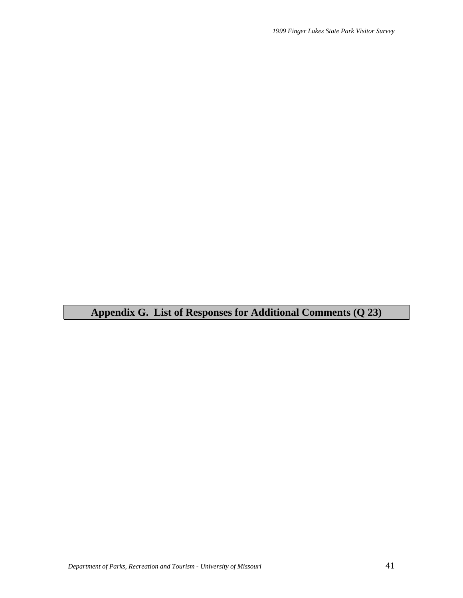**Appendix G. List of Responses for Additional Comments (Q 23)**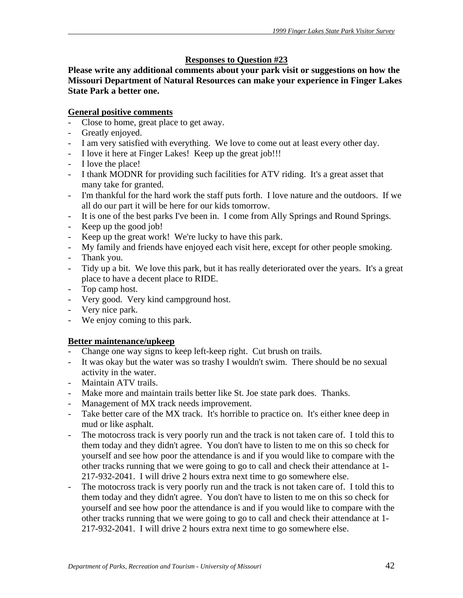# **Responses to Question #23**

**Please write any additional comments about your park visit or suggestions on how the Missouri Department of Natural Resources can make your experience in Finger Lakes State Park a better one.** 

### **General positive comments**

- Close to home, great place to get away.
- Greatly enjoyed.
- I am very satisfied with everything. We love to come out at least every other day.
- I love it here at Finger Lakes! Keep up the great job!!!
- I love the place!
- I thank MODNR for providing such facilities for ATV riding. It's a great asset that many take for granted.
- I'm thankful for the hard work the staff puts forth. I love nature and the outdoors. If we all do our part it will be here for our kids tomorrow.
- It is one of the best parks I've been in. I come from Ally Springs and Round Springs.
- Keep up the good job!
- Keep up the great work! We're lucky to have this park.
- My family and friends have enjoyed each visit here, except for other people smoking.
- Thank you.
- Tidy up a bit. We love this park, but it has really deteriorated over the years. It's a great place to have a decent place to RIDE.
- Top camp host.
- Very good. Very kind campground host.
- Very nice park.
- We enjoy coming to this park.

#### **Better maintenance/upkeep**

- Change one way signs to keep left-keep right. Cut brush on trails.
- It was okay but the water was so trashy I wouldn't swim. There should be no sexual activity in the water.
- Maintain ATV trails.
- Make more and maintain trails better like St. Joe state park does. Thanks.
- Management of MX track needs improvement.
- Take better care of the MX track. It's horrible to practice on. It's either knee deep in mud or like asphalt.
- The motocross track is very poorly run and the track is not taken care of. I told this to them today and they didn't agree. You don't have to listen to me on this so check for yourself and see how poor the attendance is and if you would like to compare with the other tracks running that we were going to go to call and check their attendance at 1- 217-932-2041. I will drive 2 hours extra next time to go somewhere else.
- The motocross track is very poorly run and the track is not taken care of. I told this to them today and they didn't agree. You don't have to listen to me on this so check for yourself and see how poor the attendance is and if you would like to compare with the other tracks running that we were going to go to call and check their attendance at 1- 217-932-2041. I will drive 2 hours extra next time to go somewhere else.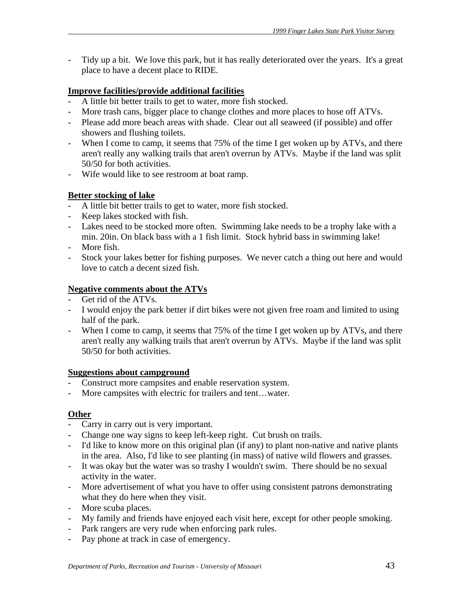- Tidy up a bit. We love this park, but it has really deteriorated over the years. It's a great place to have a decent place to RIDE.

# **Improve facilities/provide additional facilities**

- A little bit better trails to get to water, more fish stocked.
- More trash cans, bigger place to change clothes and more places to hose off ATVs.
- Please add more beach areas with shade. Clear out all seaweed (if possible) and offer showers and flushing toilets.
- When I come to camp, it seems that 75% of the time I get woken up by ATVs, and there aren't really any walking trails that aren't overrun by ATVs. Maybe if the land was split 50/50 for both activities.
- Wife would like to see restroom at boat ramp.

# **Better stocking of lake**

- A little bit better trails to get to water, more fish stocked.
- Keep lakes stocked with fish.
- Lakes need to be stocked more often. Swimming lake needs to be a trophy lake with a min. 20in. On black bass with a 1 fish limit. Stock hybrid bass in swimming lake!
- More fish.
- Stock your lakes better for fishing purposes. We never catch a thing out here and would love to catch a decent sized fish.

# **Negative comments about the ATVs**

- Get rid of the ATVs.
- I would enjoy the park better if dirt bikes were not given free roam and limited to using half of the park.
- When I come to camp, it seems that 75% of the time I get woken up by ATVs, and there aren't really any walking trails that aren't overrun by ATVs. Maybe if the land was split 50/50 for both activities.

# **Suggestions about campground**

- Construct more campsites and enable reservation system.
- More campsites with electric for trailers and tent…water.

# **Other**

- Carry in carry out is very important.
- Change one way signs to keep left-keep right. Cut brush on trails.
- I'd like to know more on this original plan (if any) to plant non-native and native plants in the area. Also, I'd like to see planting (in mass) of native wild flowers and grasses.
- It was okay but the water was so trashy I wouldn't swim. There should be no sexual activity in the water.
- More advertisement of what you have to offer using consistent patrons demonstrating what they do here when they visit.
- More scuba places.
- My family and friends have enjoyed each visit here, except for other people smoking.
- Park rangers are very rude when enforcing park rules.
- Pay phone at track in case of emergency.